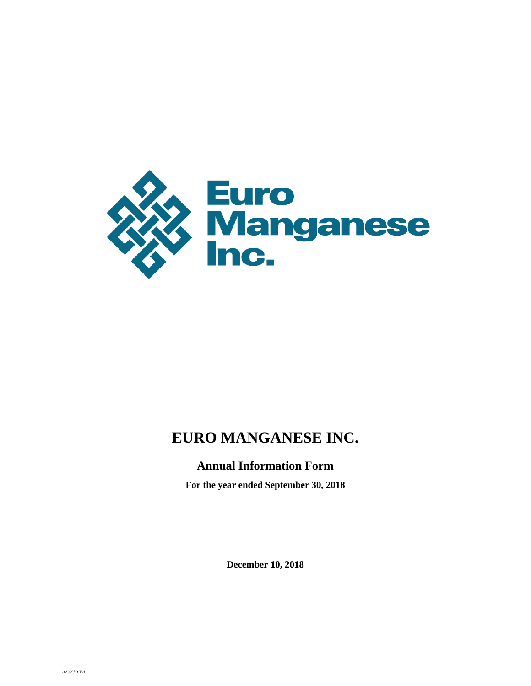

# **EURO MANGANESE INC.**

## **Annual Information Form**

**For the year ended September 30, 2018**

**December 10, 2018**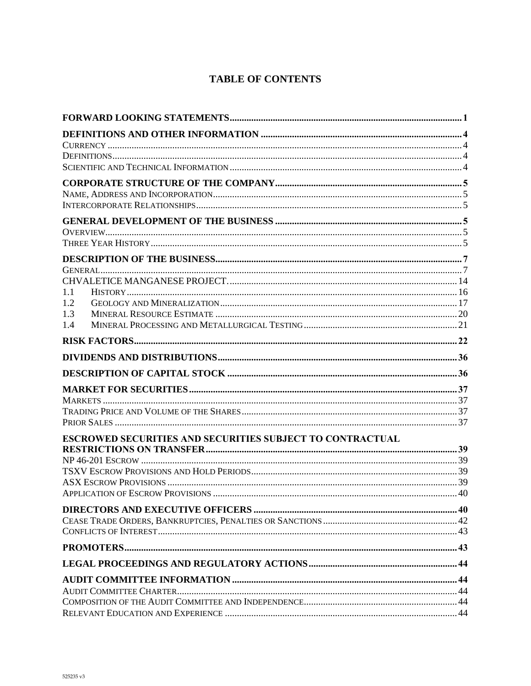## **TABLE OF CONTENTS**

| 1.1                                                       |  |
|-----------------------------------------------------------|--|
| 1.2                                                       |  |
| 1.3                                                       |  |
| 1.4                                                       |  |
|                                                           |  |
|                                                           |  |
|                                                           |  |
|                                                           |  |
|                                                           |  |
|                                                           |  |
|                                                           |  |
| ESCROWED SECURITIES AND SECURITIES SUBJECT TO CONTRACTUAL |  |
|                                                           |  |
|                                                           |  |
|                                                           |  |
|                                                           |  |
|                                                           |  |
|                                                           |  |
|                                                           |  |
|                                                           |  |
|                                                           |  |
|                                                           |  |
|                                                           |  |
|                                                           |  |
|                                                           |  |
|                                                           |  |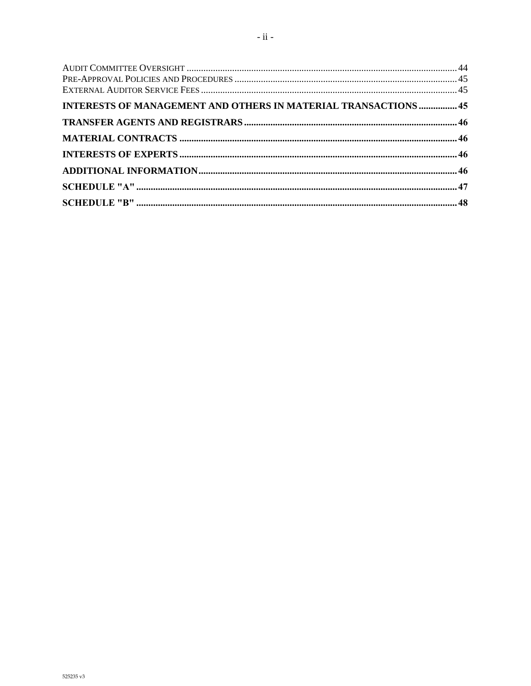| INTERESTS OF MANAGEMENT AND OTHERS IN MATERIAL TRANSACTIONS  45 |  |
|-----------------------------------------------------------------|--|
|                                                                 |  |
|                                                                 |  |
|                                                                 |  |
|                                                                 |  |
|                                                                 |  |
|                                                                 |  |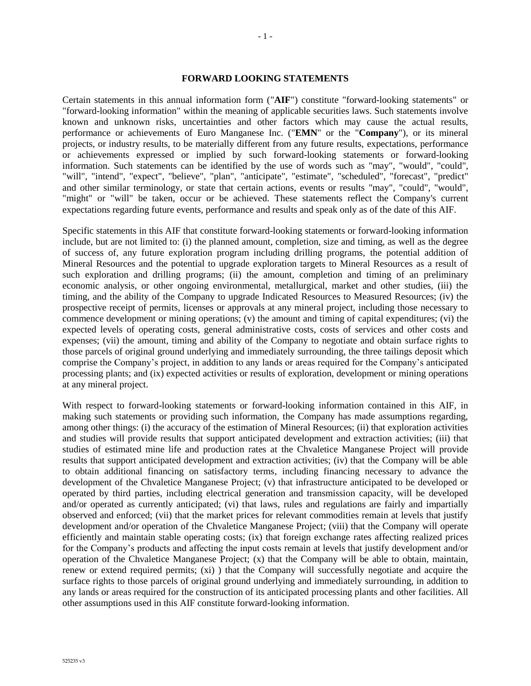#### **FORWARD LOOKING STATEMENTS**

Certain statements in this annual information form ("**AIF**") constitute "forward-looking statements" or "forward-looking information" within the meaning of applicable securities laws. Such statements involve known and unknown risks, uncertainties and other factors which may cause the actual results, performance or achievements of Euro Manganese Inc. ("**EMN**" or the "**Company**"), or its mineral projects, or industry results, to be materially different from any future results, expectations, performance or achievements expressed or implied by such forward-looking statements or forward-looking information. Such statements can be identified by the use of words such as "may", "would", "could", "will", "intend", "expect", "believe", "plan", "anticipate", "estimate", "scheduled", "forecast", "predict" and other similar terminology, or state that certain actions, events or results "may", "could", "would", "might" or "will" be taken, occur or be achieved. These statements reflect the Company's current expectations regarding future events, performance and results and speak only as of the date of this AIF.

Specific statements in this AIF that constitute forward-looking statements or forward-looking information include, but are not limited to: (i) the planned amount, completion, size and timing, as well as the degree of success of, any future exploration program including drilling programs, the potential addition of Mineral Resources and the potential to upgrade exploration targets to Mineral Resources as a result of such exploration and drilling programs; (ii) the amount, completion and timing of an preliminary economic analysis, or other ongoing environmental, metallurgical, market and other studies, (iii) the timing, and the ability of the Company to upgrade Indicated Resources to Measured Resources; (iv) the prospective receipt of permits, licenses or approvals at any mineral project, including those necessary to commence development or mining operations; (v) the amount and timing of capital expenditures; (vi) the expected levels of operating costs, general administrative costs, costs of services and other costs and expenses; (vii) the amount, timing and ability of the Company to negotiate and obtain surface rights to those parcels of original ground underlying and immediately surrounding, the three tailings deposit which comprise the Company's project, in addition to any lands or areas required for the Company's anticipated processing plants; and (ix) expected activities or results of exploration, development or mining operations at any mineral project.

With respect to forward-looking statements or forward-looking information contained in this AIF, in making such statements or providing such information, the Company has made assumptions regarding, among other things: (i) the accuracy of the estimation of Mineral Resources; (ii) that exploration activities and studies will provide results that support anticipated development and extraction activities; (iii) that studies of estimated mine life and production rates at the Chvaletice Manganese Project will provide results that support anticipated development and extraction activities; (iv) that the Company will be able to obtain additional financing on satisfactory terms, including financing necessary to advance the development of the Chvaletice Manganese Project; (v) that infrastructure anticipated to be developed or operated by third parties, including electrical generation and transmission capacity, will be developed and/or operated as currently anticipated; (vi) that laws, rules and regulations are fairly and impartially observed and enforced; (vii) that the market prices for relevant commodities remain at levels that justify development and/or operation of the Chvaletice Manganese Project; (viii) that the Company will operate efficiently and maintain stable operating costs; (ix) that foreign exchange rates affecting realized prices for the Company's products and affecting the input costs remain at levels that justify development and/or operation of the Chvaletice Manganese Project; (x) that the Company will be able to obtain, maintain, renew or extend required permits; (xi) ) that the Company will successfully negotiate and acquire the surface rights to those parcels of original ground underlying and immediately surrounding, in addition to any lands or areas required for the construction of its anticipated processing plants and other facilities. All other assumptions used in this AIF constitute forward-looking information.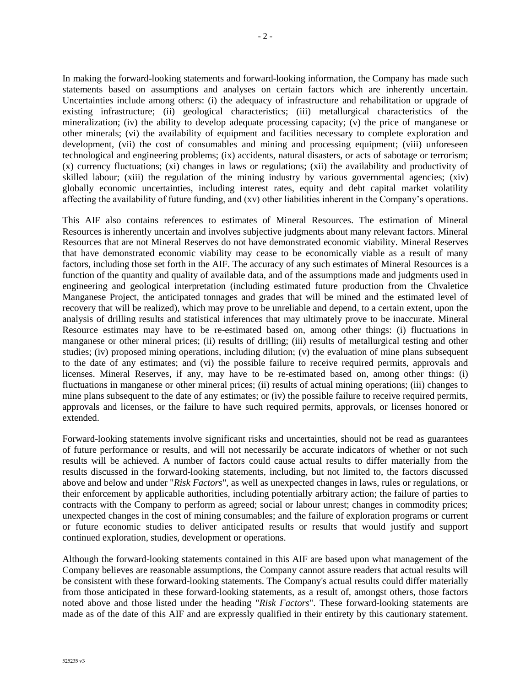In making the forward-looking statements and forward-looking information, the Company has made such statements based on assumptions and analyses on certain factors which are inherently uncertain. Uncertainties include among others: (i) the adequacy of infrastructure and rehabilitation or upgrade of existing infrastructure; (ii) geological characteristics; (iii) metallurgical characteristics of the mineralization; (iv) the ability to develop adequate processing capacity; (v) the price of manganese or other minerals; (vi) the availability of equipment and facilities necessary to complete exploration and development, (vii) the cost of consumables and mining and processing equipment; (viii) unforeseen technological and engineering problems; (ix) accidents, natural disasters, or acts of sabotage or terrorism; (x) currency fluctuations; (xi) changes in laws or regulations; (xii) the availability and productivity of skilled labour; (xiii) the regulation of the mining industry by various governmental agencies; (xiv) globally economic uncertainties, including interest rates, equity and debt capital market volatility affecting the availability of future funding, and (xv) other liabilities inherent in the Company's operations.

This AIF also contains references to estimates of Mineral Resources. The estimation of Mineral Resources is inherently uncertain and involves subjective judgments about many relevant factors. Mineral Resources that are not Mineral Reserves do not have demonstrated economic viability. Mineral Reserves that have demonstrated economic viability may cease to be economically viable as a result of many factors, including those set forth in the AIF. The accuracy of any such estimates of Mineral Resources is a function of the quantity and quality of available data, and of the assumptions made and judgments used in engineering and geological interpretation (including estimated future production from the Chvaletice Manganese Project, the anticipated tonnages and grades that will be mined and the estimated level of recovery that will be realized), which may prove to be unreliable and depend, to a certain extent, upon the analysis of drilling results and statistical inferences that may ultimately prove to be inaccurate. Mineral Resource estimates may have to be re-estimated based on, among other things: (i) fluctuations in manganese or other mineral prices; (ii) results of drilling; (iii) results of metallurgical testing and other studies; (iv) proposed mining operations, including dilution; (v) the evaluation of mine plans subsequent to the date of any estimates; and (vi) the possible failure to receive required permits, approvals and licenses. Mineral Reserves, if any, may have to be re-estimated based on, among other things: (i) fluctuations in manganese or other mineral prices; (ii) results of actual mining operations; (iii) changes to mine plans subsequent to the date of any estimates; or (iv) the possible failure to receive required permits, approvals and licenses, or the failure to have such required permits, approvals, or licenses honored or extended.

Forward-looking statements involve significant risks and uncertainties, should not be read as guarantees of future performance or results, and will not necessarily be accurate indicators of whether or not such results will be achieved. A number of factors could cause actual results to differ materially from the results discussed in the forward-looking statements, including, but not limited to, the factors discussed above and below and under "*Risk Factors*", as well as unexpected changes in laws, rules or regulations, or their enforcement by applicable authorities, including potentially arbitrary action; the failure of parties to contracts with the Company to perform as agreed; social or labour unrest; changes in commodity prices; unexpected changes in the cost of mining consumables; and the failure of exploration programs or current or future economic studies to deliver anticipated results or results that would justify and support continued exploration, studies, development or operations.

Although the forward-looking statements contained in this AIF are based upon what management of the Company believes are reasonable assumptions, the Company cannot assure readers that actual results will be consistent with these forward-looking statements. The Company's actual results could differ materially from those anticipated in these forward-looking statements, as a result of, amongst others, those factors noted above and those listed under the heading "*Risk Factors*". These forward-looking statements are made as of the date of this AIF and are expressly qualified in their entirety by this cautionary statement.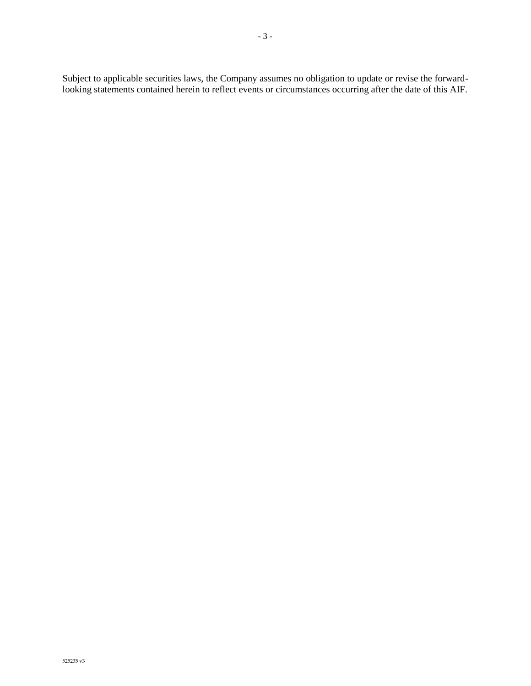Subject to applicable securities laws, the Company assumes no obligation to update or revise the forwardlooking statements contained herein to reflect events or circumstances occurring after the date of this AIF.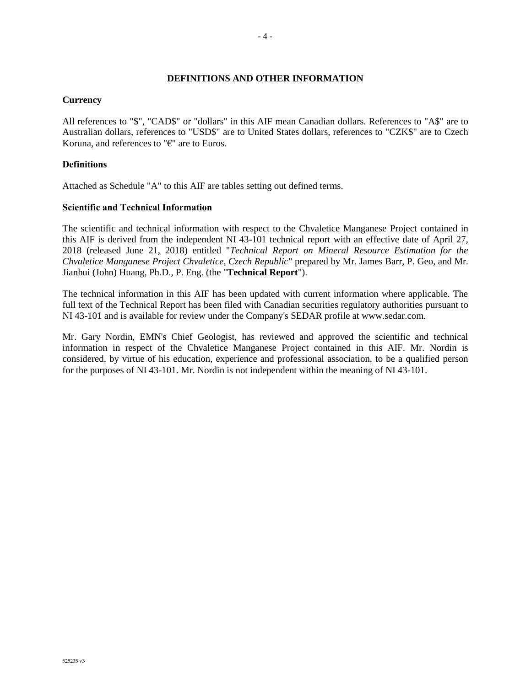#### - 4 -

#### **DEFINITIONS AND OTHER INFORMATION**

#### **Currency**

All references to "\$", "CAD\$" or "dollars" in this AIF mean Canadian dollars. References to "A\$" are to Australian dollars, references to "USD\$" are to United States dollars, references to "CZK\$" are to Czech Koruna, and references to "€" are to Euros.

## **Definitions**

Attached as Schedule "A" to this AIF are tables setting out defined terms.

#### **Scientific and Technical Information**

The scientific and technical information with respect to the Chvaletice Manganese Project contained in this AIF is derived from the independent NI 43-101 technical report with an effective date of April 27, 2018 (released June 21, 2018) entitled "*Technical Report on Mineral Resource Estimation for the Chvaletice Manganese Project Chvaletice, Czech Republic*" prepared by Mr. James Barr, P. Geo, and Mr. Jianhui (John) Huang, Ph.D., P. Eng. (the "**Technical Report**").

The technical information in this AIF has been updated with current information where applicable. The full text of the Technical Report has been filed with Canadian securities regulatory authorities pursuant to NI 43-101 and is available for review under the Company's SEDAR profile at www.sedar.com.

Mr. Gary Nordin, EMN's Chief Geologist, has reviewed and approved the scientific and technical information in respect of the Chvaletice Manganese Project contained in this AIF. Mr. Nordin is considered, by virtue of his education, experience and professional association, to be a qualified person for the purposes of NI 43-101. Mr. Nordin is not independent within the meaning of NI 43-101.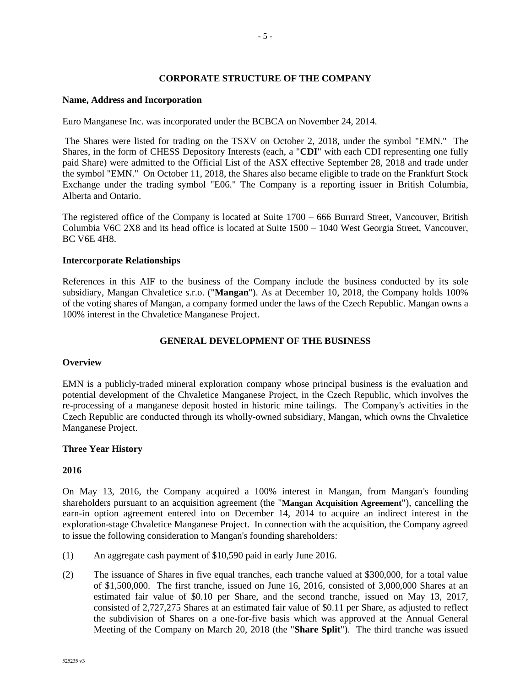## **CORPORATE STRUCTURE OF THE COMPANY**

#### **Name, Address and Incorporation**

Euro Manganese Inc. was incorporated under the BCBCA on November 24, 2014.

The Shares were listed for trading on the TSXV on October 2, 2018, under the symbol "EMN." The Shares, in the form of CHESS Depository Interests (each, a "**CDI**" with each CDI representing one fully paid Share) were admitted to the Official List of the ASX effective September 28, 2018 and trade under the symbol "EMN." On October 11, 2018, the Shares also became eligible to trade on the Frankfurt Stock Exchange under the trading symbol "E06." The Company is a reporting issuer in British Columbia, Alberta and Ontario.

The registered office of the Company is located at Suite 1700 – 666 Burrard Street, Vancouver, British Columbia V6C 2X8 and its head office is located at Suite 1500 – 1040 West Georgia Street, Vancouver, BC V6E 4H8.

#### **Intercorporate Relationships**

References in this AIF to the business of the Company include the business conducted by its sole subsidiary, Mangan Chvaletice s.r.o. ("**Mangan**"). As at December 10, 2018, the Company holds 100% of the voting shares of Mangan, a company formed under the laws of the Czech Republic. Mangan owns a 100% interest in the Chvaletice Manganese Project.

## **GENERAL DEVELOPMENT OF THE BUSINESS**

#### **Overview**

EMN is a publicly-traded mineral exploration company whose principal business is the evaluation and potential development of the Chvaletice Manganese Project, in the Czech Republic, which involves the re-processing of a manganese deposit hosted in historic mine tailings. The Company's activities in the Czech Republic are conducted through its wholly-owned subsidiary, Mangan, which owns the Chvaletice Manganese Project.

## **Three Year History**

#### **2016**

On May 13, 2016, the Company acquired a 100% interest in Mangan, from Mangan's founding shareholders pursuant to an acquisition agreement (the "**Mangan Acquisition Agreement**"), cancelling the earn-in option agreement entered into on December 14, 2014 to acquire an indirect interest in the exploration-stage Chvaletice Manganese Project. In connection with the acquisition, the Company agreed to issue the following consideration to Mangan's founding shareholders:

- (1) An aggregate cash payment of \$10,590 paid in early June 2016.
- (2) The issuance of Shares in five equal tranches, each tranche valued at \$300,000, for a total value of \$1,500,000. The first tranche, issued on June 16, 2016, consisted of 3,000,000 Shares at an estimated fair value of \$0.10 per Share, and the second tranche, issued on May 13, 2017, consisted of 2,727,275 Shares at an estimated fair value of \$0.11 per Share, as adjusted to reflect the subdivision of Shares on a one-for-five basis which was approved at the Annual General Meeting of the Company on March 20, 2018 (the "**Share Split**"). The third tranche was issued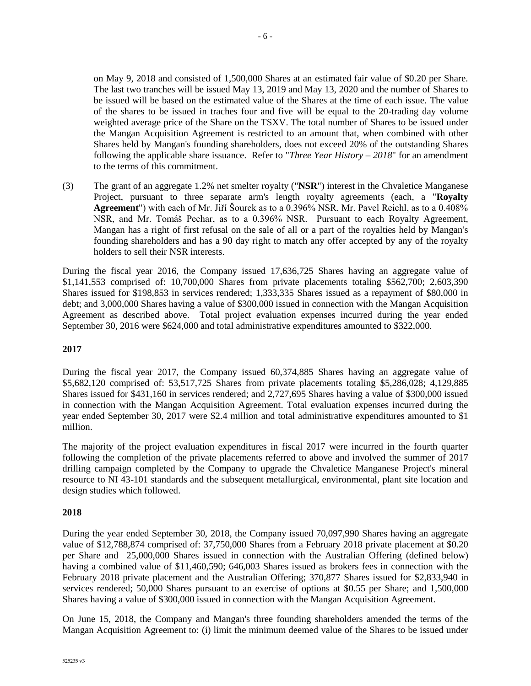on May 9, 2018 and consisted of 1,500,000 Shares at an estimated fair value of \$0.20 per Share. The last two tranches will be issued May 13, 2019 and May 13, 2020 and the number of Shares to be issued will be based on the estimated value of the Shares at the time of each issue. The value of the shares to be issued in traches four and five will be equal to the 20-trading day volume weighted average price of the Share on the TSXV. The total number of Shares to be issued under the Mangan Acquisition Agreement is restricted to an amount that, when combined with other Shares held by Mangan's founding shareholders, does not exceed 20% of the outstanding Shares following the applicable share issuance. Refer to "*Three Year History – 2018*" for an amendment to the terms of this commitment.

(3) The grant of an aggregate 1.2% net smelter royalty ("**NSR**") interest in the Chvaletice Manganese Project, pursuant to three separate arm's length royalty agreements (each, a "**Royalty Agreement**") with each of Mr. Jiří Šourek as to a 0.396% NSR, Mr. Pavel Reichl, as to a 0.408% NSR, and Mr. Tomáš Pechar, as to a 0.396% NSR. Pursuant to each Royalty Agreement, Mangan has a right of first refusal on the sale of all or a part of the royalties held by Mangan's founding shareholders and has a 90 day right to match any offer accepted by any of the royalty holders to sell their NSR interests.

During the fiscal year 2016, the Company issued 17,636,725 Shares having an aggregate value of \$1,141,553 comprised of: 10,700,000 Shares from private placements totaling \$562,700; 2,603,390 Shares issued for \$198,853 in services rendered; 1,333,335 Shares issued as a repayment of \$80,000 in debt; and 3,000,000 Shares having a value of \$300,000 issued in connection with the Mangan Acquisition Agreement as described above. Total project evaluation expenses incurred during the year ended September 30, 2016 were \$624,000 and total administrative expenditures amounted to \$322,000.

## **2017**

During the fiscal year 2017, the Company issued 60,374,885 Shares having an aggregate value of \$5,682,120 comprised of: 53,517,725 Shares from private placements totaling \$5,286,028; 4,129,885 Shares issued for \$431,160 in services rendered; and 2,727,695 Shares having a value of \$300,000 issued in connection with the Mangan Acquisition Agreement. Total evaluation expenses incurred during the year ended September 30, 2017 were \$2.4 million and total administrative expenditures amounted to \$1 million.

The majority of the project evaluation expenditures in fiscal 2017 were incurred in the fourth quarter following the completion of the private placements referred to above and involved the summer of 2017 drilling campaign completed by the Company to upgrade the Chvaletice Manganese Project's mineral resource to NI 43-101 standards and the subsequent metallurgical, environmental, plant site location and design studies which followed.

## **2018**

During the year ended September 30, 2018, the Company issued 70,097,990 Shares having an aggregate value of \$12,788,874 comprised of: 37,750,000 Shares from a February 2018 private placement at \$0.20 per Share and 25,000,000 Shares issued in connection with the Australian Offering (defined below) having a combined value of \$11,460,590; 646,003 Shares issued as brokers fees in connection with the February 2018 private placement and the Australian Offering; 370,877 Shares issued for \$2,833,940 in services rendered; 50,000 Shares pursuant to an exercise of options at \$0.55 per Share; and 1,500,000 Shares having a value of \$300,000 issued in connection with the Mangan Acquisition Agreement.

On June 15, 2018, the Company and Mangan's three founding shareholders amended the terms of the Mangan Acquisition Agreement to: (i) limit the minimum deemed value of the Shares to be issued under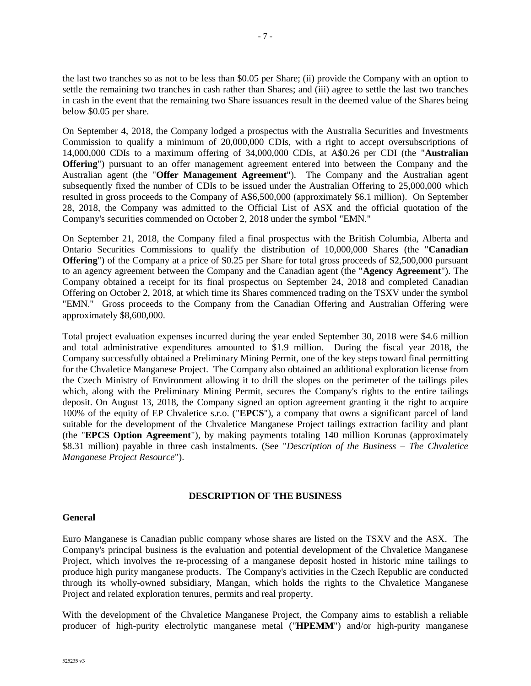the last two tranches so as not to be less than \$0.05 per Share; (ii) provide the Company with an option to settle the remaining two tranches in cash rather than Shares; and (iii) agree to settle the last two tranches in cash in the event that the remaining two Share issuances result in the deemed value of the Shares being below \$0.05 per share.

On September 4, 2018, the Company lodged a prospectus with the Australia Securities and Investments Commission to qualify a minimum of 20,000,000 CDIs, with a right to accept oversubscriptions of 14,000,000 CDIs to a maximum offering of 34,000,000 CDIs, at A\$0.26 per CDI (the "**Australian Offering**") pursuant to an offer management agreement entered into between the Company and the Australian agent (the "**Offer Management Agreement**"). The Company and the Australian agent subsequently fixed the number of CDIs to be issued under the Australian Offering to 25,000,000 which resulted in gross proceeds to the Company of A\$6,500,000 (approximately \$6.1 million). On September 28, 2018, the Company was admitted to the Official List of ASX and the official quotation of the Company's securities commended on October 2, 2018 under the symbol "EMN."

On September 21, 2018, the Company filed a final prospectus with the British Columbia, Alberta and Ontario Securities Commissions to qualify the distribution of 10,000,000 Shares (the "**Canadian Offering**") of the Company at a price of \$0.25 per Share for total gross proceeds of \$2,500,000 pursuant to an agency agreement between the Company and the Canadian agent (the "**Agency Agreement**"). The Company obtained a receipt for its final prospectus on September 24, 2018 and completed Canadian Offering on October 2, 2018, at which time its Shares commenced trading on the TSXV under the symbol "EMN." Gross proceeds to the Company from the Canadian Offering and Australian Offering were approximately \$8,600,000.

Total project evaluation expenses incurred during the year ended September 30, 2018 were \$4.6 million and total administrative expenditures amounted to \$1.9 million. During the fiscal year 2018, the Company successfully obtained a Preliminary Mining Permit, one of the key steps toward final permitting for the Chvaletice Manganese Project. The Company also obtained an additional exploration license from the Czech Ministry of Environment allowing it to drill the slopes on the perimeter of the tailings piles which, along with the Preliminary Mining Permit, secures the Company's rights to the entire tailings deposit. On August 13, 2018, the Company signed an option agreement granting it the right to acquire 100% of the equity of EP Chvaletice s.r.o. ("**EPCS**"), a company that owns a significant parcel of land suitable for the development of the Chvaletice Manganese Project tailings extraction facility and plant (the "**EPCS Option Agreement**"), by making payments totaling 140 million Korunas (approximately \$8.31 million) payable in three cash instalments. (See "*Description of the Business – The Chvaletice Manganese Project Resource*").

#### **DESCRIPTION OF THE BUSINESS**

#### **General**

Euro Manganese is Canadian public company whose shares are listed on the TSXV and the ASX. The Company's principal business is the evaluation and potential development of the Chvaletice Manganese Project, which involves the re-processing of a manganese deposit hosted in historic mine tailings to produce high purity manganese products. The Company's activities in the Czech Republic are conducted through its wholly-owned subsidiary, Mangan, which holds the rights to the Chvaletice Manganese Project and related exploration tenures, permits and real property.

With the development of the Chvaletice Manganese Project, the Company aims to establish a reliable producer of high-purity electrolytic manganese metal ("**HPEMM**") and/or high-purity manganese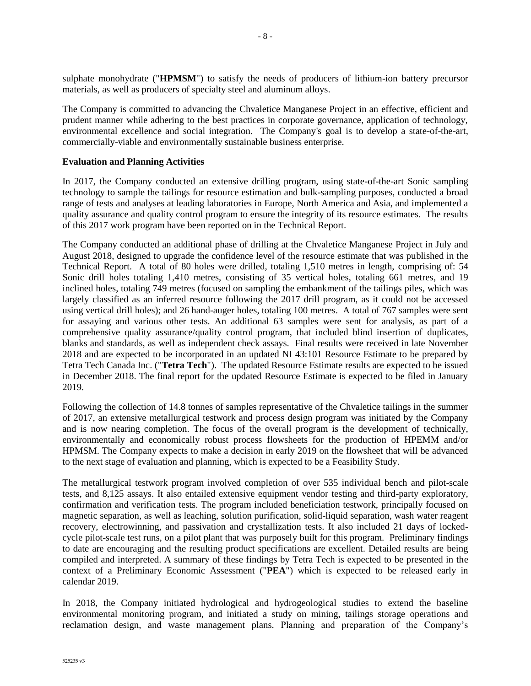sulphate monohydrate ("**HPMSM**") to satisfy the needs of producers of lithium-ion battery precursor materials, as well as producers of specialty steel and aluminum alloys.

The Company is committed to advancing the Chvaletice Manganese Project in an effective, efficient and prudent manner while adhering to the best practices in corporate governance, application of technology, environmental excellence and social integration. The Company's goal is to develop a state-of-the-art, commercially-viable and environmentally sustainable business enterprise.

## **Evaluation and Planning Activities**

In 2017, the Company conducted an extensive drilling program, using state-of-the-art Sonic sampling technology to sample the tailings for resource estimation and bulk-sampling purposes, conducted a broad range of tests and analyses at leading laboratories in Europe, North America and Asia, and implemented a quality assurance and quality control program to ensure the integrity of its resource estimates. The results of this 2017 work program have been reported on in the Technical Report.

The Company conducted an additional phase of drilling at the Chvaletice Manganese Project in July and August 2018, designed to upgrade the confidence level of the resource estimate that was published in the Technical Report. A total of 80 holes were drilled, totaling 1,510 metres in length, comprising of: 54 Sonic drill holes totaling 1,410 metres, consisting of 35 vertical holes, totaling 661 metres, and 19 inclined holes, totaling 749 metres (focused on sampling the embankment of the tailings piles, which was largely classified as an inferred resource following the 2017 drill program, as it could not be accessed using vertical drill holes); and 26 hand-auger holes, totaling 100 metres. A total of 767 samples were sent for assaying and various other tests. An additional 63 samples were sent for analysis, as part of a comprehensive quality assurance/quality control program, that included blind insertion of duplicates, blanks and standards, as well as independent check assays. Final results were received in late November 2018 and are expected to be incorporated in an updated NI 43:101 Resource Estimate to be prepared by Tetra Tech Canada Inc. ("**Tetra Tech**"). The updated Resource Estimate results are expected to be issued in December 2018. The final report for the updated Resource Estimate is expected to be filed in January 2019.

Following the collection of 14.8 tonnes of samples representative of the Chvaletice tailings in the summer of 2017, an extensive metallurgical testwork and process design program was initiated by the Company and is now nearing completion. The focus of the overall program is the development of technically, environmentally and economically robust process flowsheets for the production of HPEMM and/or HPMSM. The Company expects to make a decision in early 2019 on the flowsheet that will be advanced to the next stage of evaluation and planning, which is expected to be a Feasibility Study.

The metallurgical testwork program involved completion of over 535 individual bench and pilot-scale tests, and 8,125 assays. It also entailed extensive equipment vendor testing and third-party exploratory, confirmation and verification tests. The program included beneficiation testwork, principally focused on magnetic separation, as well as leaching, solution purification, solid-liquid separation, wash water reagent recovery, electrowinning, and passivation and crystallization tests. It also included 21 days of lockedcycle pilot-scale test runs, on a pilot plant that was purposely built for this program. Preliminary findings to date are encouraging and the resulting product specifications are excellent. Detailed results are being compiled and interpreted. A summary of these findings by Tetra Tech is expected to be presented in the context of a Preliminary Economic Assessment ("**PEA**") which is expected to be released early in calendar 2019.

In 2018, the Company initiated hydrological and hydrogeological studies to extend the baseline environmental monitoring program, and initiated a study on mining, tailings storage operations and reclamation design, and waste management plans. Planning and preparation of the Company's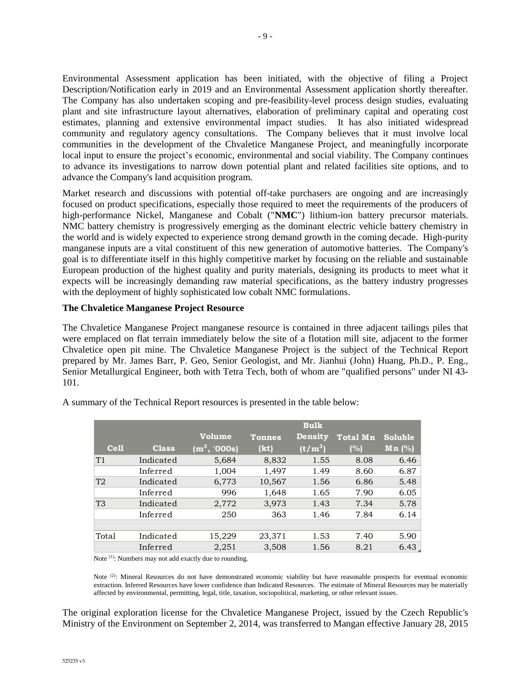Environmental Assessment application has been initiated, with the objective of filing a Project Description/Notification early in 2019 and an Environmental Assessment application shortly thereafter. The Company has also undertaken scoping and pre-feasibility-level process design studies, evaluating plant and site infrastructure layout alternatives, elaboration of preliminary capital and operating cost estimates, planning and extensive environmental impact studies. It has also initiated widespread community and regulatory agency consultations. The Company believes that it must involve local communities in the development of the Chvaletice Manganese Project, and meaningfully incorporate local input to ensure the project's economic, environmental and social viability. The Company continues to advance its investigations to narrow down potential plant and related facilities site options, and to advance the Company's land acquisition program.

Market research and discussions with potential off-take purchasers are ongoing and are increasingly focused on product specifications, especially those required to meet the requirements of the producers of high-performance Nickel, Manganese and Cobalt ("**NMC**") lithium-ion battery precursor materials. NMC battery chemistry is progressively emerging as the dominant electric vehicle battery chemistry in the world and is widely expected to experience strong demand growth in the coming decade. High-purity manganese inputs are a vital constituent of this new generation of automotive batteries. The Company's goal is to differentiate itself in this highly competitive market by focusing on the reliable and sustainable European production of the highest quality and purity materials, designing its products to meet what it expects will be increasingly demanding raw material specifications, as the battery industry progresses with the deployment of highly sophisticated low cobalt NMC formulations.

#### **The Chvaletice Manganese Project Resource**

The Chvaletice Manganese Project manganese resource is contained in three adjacent tailings piles that were emplaced on flat terrain immediately below the site of a flotation mill site, adjacent to the former Chvaletice open pit mine. The Chvaletice Manganese Project is the subject of the Technical Report prepared by Mr. James Barr, P. Geo, Senior Geologist, and Mr. Jianhui (John) Huang, Ph.D., P. Eng., Senior Metallurgical Engineer, both with Tetra Tech, both of whom are "qualified persons" under NI 43- 101.

|             |              |               |               | <b>Bulk</b>    |          |          |
|-------------|--------------|---------------|---------------|----------------|----------|----------|
|             |              | Volume        | <b>Tonnes</b> | <b>Density</b> | Total Mn | Soluble  |
| <b>Cell</b> | <b>Class</b> | $(m^3, 000s)$ | (kt)          | $(t/m^3)$      | (%)      | $Mn$ (%) |
| T1          | Indicated    | 5,684         | 8,832         | 1.55           | 8.08     | 6.46     |
|             | Inferred     | 1,004         | 1,497         | 1.49           | 8.60     | 6.87     |
| T2          | Indicated    | 6,773         | 10,567        | 1.56           | 6.86     | 5.48     |
|             | Inferred     | 996           | 1,648         | 1.65           | 7.90     | 6.05     |
| T3          | Indicated    | 2,772         | 3,973         | 1.43           | 7.34     | 5.78     |
|             | Inferred     | 250           | 363           | 1.46           | 7.84     | 6.14     |
|             |              |               |               |                |          |          |
| Total       | Indicated    | 15,229        | 23,371        | 1.53           | 7.40     | 5.90     |
|             | Inferred     | 2,251         | 3,508         | 1.56           | 8.21     | 6.43     |

A summary of the Technical Report resources is presented in the table below:

Note <sup>(1)</sup>: Numbers may not add exactly due to rounding.

Note <sup>(2)</sup>: Mineral Resources do not have demonstrated economic viability but have reasonable prospects for eventual economic extraction. Inferred Resources have lower confidence than Indicated Resources. The estimate of Mineral Resources may be materially affected by environmental, permitting, legal, title, taxation, sociopolitical, marketing, or other relevant issues.

The original exploration license for the Chvaletice Manganese Project, issued by the Czech Republic's Ministry of the Environment on September 2, 2014, was transferred to Mangan effective January 28, 2015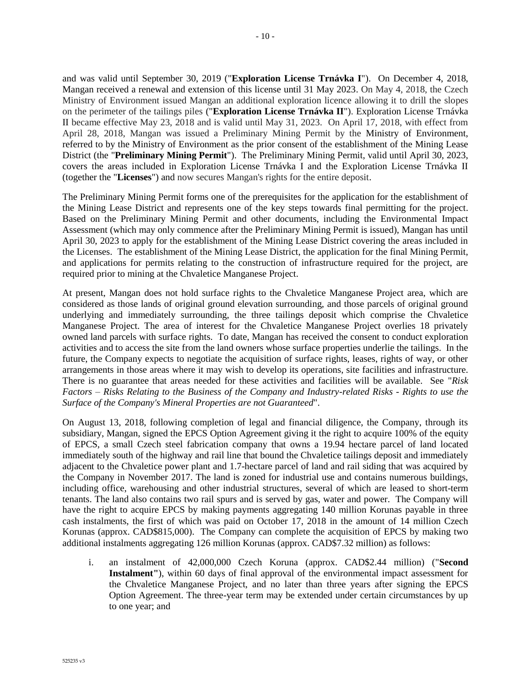and was valid until September 30, 2019 ("**Exploration License Trnávka I**"). On December 4, 2018, Mangan received a renewal and extension of this license until 31 May 2023. On May 4, 2018, the Czech Ministry of Environment issued Mangan an additional exploration licence allowing it to drill the slopes on the perimeter of the tailings piles ("**Exploration License Trnávka II**"). Exploration License Trnávka II became effective May 23, 2018 and is valid until May 31, 2023. On April 17, 2018, with effect from April 28, 2018, Mangan was issued a Preliminary Mining Permit by the Ministry of Environment, referred to by the Ministry of Environment as the prior consent of the establishment of the Mining Lease District (the "**Preliminary Mining Permit**"). The Preliminary Mining Permit, valid until April 30, 2023, covers the areas included in Exploration License Trnávka I and the Exploration License Trnávka II (together the "**Licenses**") and now secures Mangan's rights for the entire deposit.

The Preliminary Mining Permit forms one of the prerequisites for the application for the establishment of the Mining Lease District and represents one of the key steps towards final permitting for the project. Based on the Preliminary Mining Permit and other documents, including the Environmental Impact Assessment (which may only commence after the Preliminary Mining Permit is issued), Mangan has until April 30, 2023 to apply for the establishment of the Mining Lease District covering the areas included in the Licenses. The establishment of the Mining Lease District, the application for the final Mining Permit, and applications for permits relating to the construction of infrastructure required for the project, are required prior to mining at the Chvaletice Manganese Project.

At present, Mangan does not hold surface rights to the Chvaletice Manganese Project area, which are considered as those lands of original ground elevation surrounding, and those parcels of original ground underlying and immediately surrounding, the three tailings deposit which comprise the Chvaletice Manganese Project. The area of interest for the Chvaletice Manganese Project overlies 18 privately owned land parcels with surface rights. To date, Mangan has received the consent to conduct exploration activities and to access the site from the land owners whose surface properties underlie the tailings. In the future, the Company expects to negotiate the acquisition of surface rights, leases, rights of way, or other arrangements in those areas where it may wish to develop its operations, site facilities and infrastructure. There is no guarantee that areas needed for these activities and facilities will be available. See "*Risk Factors – Risks Relating to the Business of the Company and Industry-related Risks - Rights to use the Surface of the Company's Mineral Properties are not Guaranteed*".

On August 13, 2018, following completion of legal and financial diligence, the Company, through its subsidiary, Mangan, signed the EPCS Option Agreement giving it the right to acquire 100% of the equity of EPCS, a small Czech steel fabrication company that owns a 19.94 hectare parcel of land located immediately south of the highway and rail line that bound the Chvaletice tailings deposit and immediately adjacent to the Chvaletice power plant and 1.7-hectare parcel of land and rail siding that was acquired by the Company in November 2017. The land is zoned for industrial use and contains numerous buildings, including office, warehousing and other industrial structures, several of which are leased to short-term tenants. The land also contains two rail spurs and is served by gas, water and power. The Company will have the right to acquire EPCS by making payments aggregating 140 million Korunas payable in three cash instalments, the first of which was paid on October 17, 2018 in the amount of 14 million Czech Korunas (approx. CAD\$815,000). The Company can complete the acquisition of EPCS by making two additional instalments aggregating 126 million Korunas (approx. CAD\$7.32 million) as follows:

i. an instalment of 42,000,000 Czech Koruna (approx. CAD\$2.44 million) ("**Second Instalment"**), within 60 days of final approval of the environmental impact assessment for the Chvaletice Manganese Project, and no later than three years after signing the EPCS Option Agreement. The three-year term may be extended under certain circumstances by up to one year; and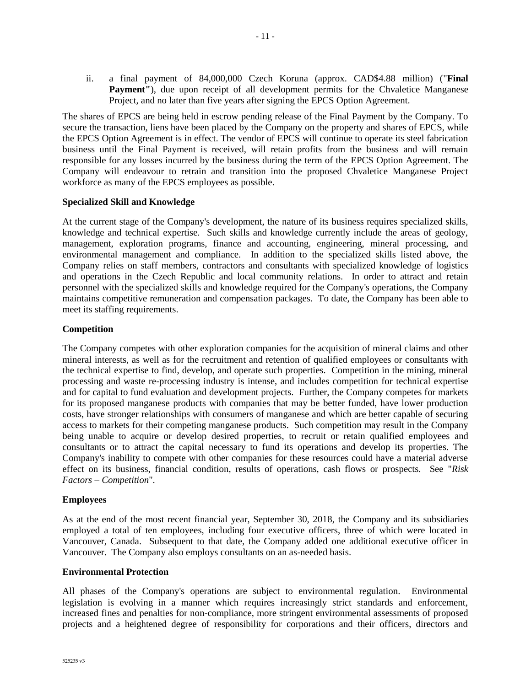ii. a final payment of 84,000,000 Czech Koruna (approx. CAD\$4.88 million) ("**Final**  Payment"), due upon receipt of all development permits for the Chvaletice Manganese Project, and no later than five years after signing the EPCS Option Agreement.

The shares of EPCS are being held in escrow pending release of the Final Payment by the Company. To secure the transaction, liens have been placed by the Company on the property and shares of EPCS, while the EPCS Option Agreement is in effect. The vendor of EPCS will continue to operate its steel fabrication business until the Final Payment is received, will retain profits from the business and will remain responsible for any losses incurred by the business during the term of the EPCS Option Agreement. The Company will endeavour to retrain and transition into the proposed Chvaletice Manganese Project workforce as many of the EPCS employees as possible.

#### **Specialized Skill and Knowledge**

At the current stage of the Company's development, the nature of its business requires specialized skills, knowledge and technical expertise. Such skills and knowledge currently include the areas of geology, management, exploration programs, finance and accounting, engineering, mineral processing, and environmental management and compliance. In addition to the specialized skills listed above, the Company relies on staff members, contractors and consultants with specialized knowledge of logistics and operations in the Czech Republic and local community relations. In order to attract and retain personnel with the specialized skills and knowledge required for the Company's operations, the Company maintains competitive remuneration and compensation packages. To date, the Company has been able to meet its staffing requirements.

#### **Competition**

The Company competes with other exploration companies for the acquisition of mineral claims and other mineral interests, as well as for the recruitment and retention of qualified employees or consultants with the technical expertise to find, develop, and operate such properties. Competition in the mining, mineral processing and waste re-processing industry is intense, and includes competition for technical expertise and for capital to fund evaluation and development projects. Further, the Company competes for markets for its proposed manganese products with companies that may be better funded, have lower production costs, have stronger relationships with consumers of manganese and which are better capable of securing access to markets for their competing manganese products. Such competition may result in the Company being unable to acquire or develop desired properties, to recruit or retain qualified employees and consultants or to attract the capital necessary to fund its operations and develop its properties. The Company's inability to compete with other companies for these resources could have a material adverse effect on its business, financial condition, results of operations, cash flows or prospects. See "*Risk Factors – Competition*".

## **Employees**

As at the end of the most recent financial year, September 30, 2018, the Company and its subsidiaries employed a total of ten employees, including four executive officers, three of which were located in Vancouver, Canada. Subsequent to that date, the Company added one additional executive officer in Vancouver. The Company also employs consultants on an as-needed basis.

#### **Environmental Protection**

All phases of the Company's operations are subject to environmental regulation. Environmental legislation is evolving in a manner which requires increasingly strict standards and enforcement, increased fines and penalties for non-compliance, more stringent environmental assessments of proposed projects and a heightened degree of responsibility for corporations and their officers, directors and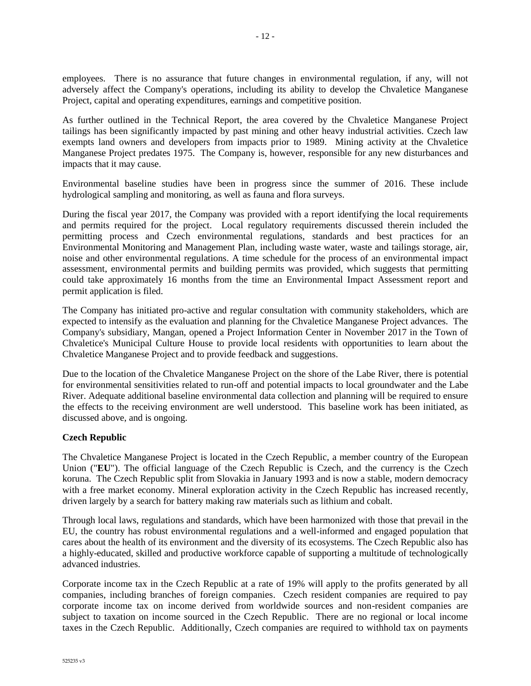employees. There is no assurance that future changes in environmental regulation, if any, will not adversely affect the Company's operations, including its ability to develop the Chvaletice Manganese Project, capital and operating expenditures, earnings and competitive position.

As further outlined in the Technical Report, the area covered by the Chvaletice Manganese Project tailings has been significantly impacted by past mining and other heavy industrial activities. Czech law exempts land owners and developers from impacts prior to 1989. Mining activity at the Chvaletice Manganese Project predates 1975. The Company is, however, responsible for any new disturbances and impacts that it may cause.

Environmental baseline studies have been in progress since the summer of 2016. These include hydrological sampling and monitoring, as well as fauna and flora surveys.

During the fiscal year 2017, the Company was provided with a report identifying the local requirements and permits required for the project. Local regulatory requirements discussed therein included the permitting process and Czech environmental regulations, standards and best practices for an Environmental Monitoring and Management Plan, including waste water, waste and tailings storage, air, noise and other environmental regulations. A time schedule for the process of an environmental impact assessment, environmental permits and building permits was provided, which suggests that permitting could take approximately 16 months from the time an Environmental Impact Assessment report and permit application is filed.

The Company has initiated pro-active and regular consultation with community stakeholders, which are expected to intensify as the evaluation and planning for the Chvaletice Manganese Project advances. The Company's subsidiary, Mangan, opened a Project Information Center in November 2017 in the Town of Chvaletice's Municipal Culture House to provide local residents with opportunities to learn about the Chvaletice Manganese Project and to provide feedback and suggestions.

Due to the location of the Chvaletice Manganese Project on the shore of the Labe River, there is potential for environmental sensitivities related to run-off and potential impacts to local groundwater and the Labe River. Adequate additional baseline environmental data collection and planning will be required to ensure the effects to the receiving environment are well understood. This baseline work has been initiated, as discussed above, and is ongoing.

## **Czech Republic**

The Chvaletice Manganese Project is located in the Czech Republic, a member country of the European Union ("**EU**"). The official language of the Czech Republic is Czech, and the currency is the Czech koruna. The Czech Republic split from Slovakia in January 1993 and is now a stable, modern democracy with a free market economy. Mineral exploration activity in the Czech Republic has increased recently, driven largely by a search for battery making raw materials such as lithium and cobalt.

Through local laws, regulations and standards, which have been harmonized with those that prevail in the EU, the country has robust environmental regulations and a well-informed and engaged population that cares about the health of its environment and the diversity of its ecosystems. The Czech Republic also has a highly-educated, skilled and productive workforce capable of supporting a multitude of technologically advanced industries.

Corporate income tax in the Czech Republic at a rate of 19% will apply to the profits generated by all companies, including branches of foreign companies. Czech resident companies are required to pay corporate income tax on income derived from worldwide sources and non-resident companies are subject to taxation on income sourced in the Czech Republic. There are no regional or local income taxes in the Czech Republic. Additionally, Czech companies are required to withhold tax on payments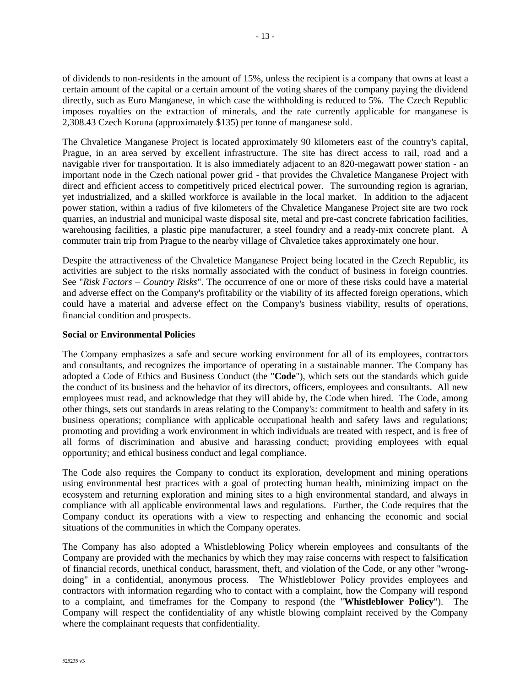of dividends to non-residents in the amount of 15%, unless the recipient is a company that owns at least a certain amount of the capital or a certain amount of the voting shares of the company paying the dividend directly, such as Euro Manganese, in which case the withholding is reduced to 5%. The Czech Republic imposes royalties on the extraction of minerals, and the rate currently applicable for manganese is 2,308.43 Czech Koruna (approximately \$135) per tonne of manganese sold.

The Chvaletice Manganese Project is located approximately 90 kilometers east of the country's capital, Prague, in an area served by excellent infrastructure. The site has direct access to rail, road and a navigable river for transportation. It is also immediately adjacent to an 820-megawatt power station - an important node in the Czech national power grid - that provides the Chvaletice Manganese Project with direct and efficient access to competitively priced electrical power. The surrounding region is agrarian, yet industrialized, and a skilled workforce is available in the local market. In addition to the adjacent power station, within a radius of five kilometers of the Chvaletice Manganese Project site are two rock quarries, an industrial and municipal waste disposal site, metal and pre-cast concrete fabrication facilities, warehousing facilities, a plastic pipe manufacturer, a steel foundry and a ready-mix concrete plant. A commuter train trip from Prague to the nearby village of Chvaletice takes approximately one hour.

Despite the attractiveness of the Chvaletice Manganese Project being located in the Czech Republic, its activities are subject to the risks normally associated with the conduct of business in foreign countries. See "*Risk Factors – Country Risks*". The occurrence of one or more of these risks could have a material and adverse effect on the Company's profitability or the viability of its affected foreign operations, which could have a material and adverse effect on the Company's business viability, results of operations, financial condition and prospects.

## **Social or Environmental Policies**

The Company emphasizes a safe and secure working environment for all of its employees, contractors and consultants, and recognizes the importance of operating in a sustainable manner. The Company has adopted a Code of Ethics and Business Conduct (the "**Code**"), which sets out the standards which guide the conduct of its business and the behavior of its directors, officers, employees and consultants. All new employees must read, and acknowledge that they will abide by, the Code when hired. The Code, among other things, sets out standards in areas relating to the Company's: commitment to health and safety in its business operations; compliance with applicable occupational health and safety laws and regulations; promoting and providing a work environment in which individuals are treated with respect, and is free of all forms of discrimination and abusive and harassing conduct; providing employees with equal opportunity; and ethical business conduct and legal compliance.

The Code also requires the Company to conduct its exploration, development and mining operations using environmental best practices with a goal of protecting human health, minimizing impact on the ecosystem and returning exploration and mining sites to a high environmental standard, and always in compliance with all applicable environmental laws and regulations. Further, the Code requires that the Company conduct its operations with a view to respecting and enhancing the economic and social situations of the communities in which the Company operates.

The Company has also adopted a Whistleblowing Policy wherein employees and consultants of the Company are provided with the mechanics by which they may raise concerns with respect to falsification of financial records, unethical conduct, harassment, theft, and violation of the Code, or any other "wrongdoing" in a confidential, anonymous process. The Whistleblower Policy provides employees and contractors with information regarding who to contact with a complaint, how the Company will respond to a complaint, and timeframes for the Company to respond (the "**Whistleblower Policy**"). The Company will respect the confidentiality of any whistle blowing complaint received by the Company where the complainant requests that confidentiality.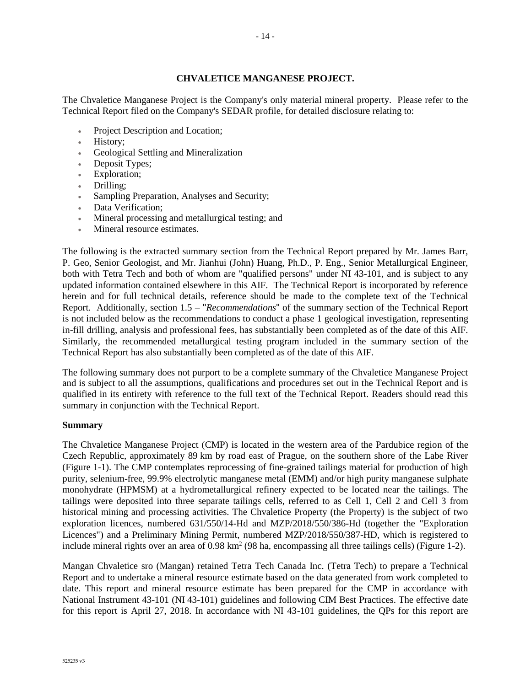## **CHVALETICE MANGANESE PROJECT.**

The Chvaletice Manganese Project is the Company's only material mineral property. Please refer to the Technical Report filed on the Company's SEDAR profile, for detailed disclosure relating to:

- Project Description and Location;
- History;
- Geological Settling and Mineralization
- Deposit Types;
- Exploration;
- Drilling;
- Sampling Preparation, Analyses and Security;
- Data Verification:
- Mineral processing and metallurgical testing; and
- Mineral resource estimates.

The following is the extracted summary section from the Technical Report prepared by Mr. James Barr, P. Geo, Senior Geologist, and Mr. Jianhui (John) Huang, Ph.D., P. Eng., Senior Metallurgical Engineer, both with Tetra Tech and both of whom are "qualified persons" under NI 43-101, and is subject to any updated information contained elsewhere in this AIF. The Technical Report is incorporated by reference herein and for full technical details, reference should be made to the complete text of the Technical Report. Additionally, section 1.5 – "*Recommendations*" of the summary section of the Technical Report is not included below as the recommendations to conduct a phase 1 geological investigation, representing in-fill drilling, analysis and professional fees, has substantially been completed as of the date of this AIF. Similarly, the recommended metallurgical testing program included in the summary section of the Technical Report has also substantially been completed as of the date of this AIF.

The following summary does not purport to be a complete summary of the Chvaletice Manganese Project and is subject to all the assumptions, qualifications and procedures set out in the Technical Report and is qualified in its entirety with reference to the full text of the Technical Report. Readers should read this summary in conjunction with the Technical Report.

## **Summary**

The Chvaletice Manganese Project (CMP) is located in the western area of the Pardubice region of the Czech Republic, approximately 89 km by road east of Prague, on the southern shore of the Labe River (Figure 1-1). The CMP contemplates reprocessing of fine-grained tailings material for production of high purity, selenium-free, 99.9% electrolytic manganese metal (EMM) and/or high purity manganese sulphate monohydrate (HPMSM) at a hydrometallurgical refinery expected to be located near the tailings. The tailings were deposited into three separate tailings cells, referred to as Cell 1, Cell 2 and Cell 3 from historical mining and processing activities. The Chvaletice Property (the Property) is the subject of two exploration licences, numbered 631/550/14-Hd and MZP/2018/550/386-Hd (together the "Exploration Licences") and a Preliminary Mining Permit, numbered MZP/2018/550/387-HD, which is registered to include mineral rights over an area of  $0.98 \text{ km}^2$  (98 ha, encompassing all three tailings cells) (Figure 1-2).

Mangan Chvaletice sro (Mangan) retained Tetra Tech Canada Inc. (Tetra Tech) to prepare a Technical Report and to undertake a mineral resource estimate based on the data generated from work completed to date. This report and mineral resource estimate has been prepared for the CMP in accordance with National Instrument 43-101 (NI 43-101) guidelines and following CIM Best Practices. The effective date for this report is April 27, 2018. In accordance with NI 43-101 guidelines, the QPs for this report are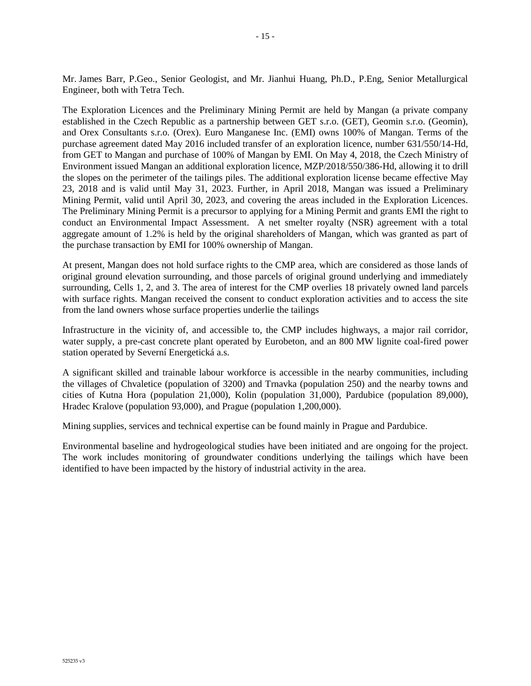Mr. James Barr, P.Geo., Senior Geologist, and Mr. Jianhui Huang, Ph.D., P.Eng, Senior Metallurgical Engineer, both with Tetra Tech.

The Exploration Licences and the Preliminary Mining Permit are held by Mangan (a private company established in the Czech Republic as a partnership between GET s.r.o. (GET), Geomin s.r.o. (Geomin), and Orex Consultants s.r.o. (Orex). Euro Manganese Inc. (EMI) owns 100% of Mangan. Terms of the purchase agreement dated May 2016 included transfer of an exploration licence, number 631/550/14-Hd, from GET to Mangan and purchase of 100% of Mangan by EMI. On May 4, 2018, the Czech Ministry of Environment issued Mangan an additional exploration licence, MZP/2018/550/386-Hd, allowing it to drill the slopes on the perimeter of the tailings piles. The additional exploration license became effective May 23, 2018 and is valid until May 31, 2023. Further, in April 2018, Mangan was issued a Preliminary Mining Permit, valid until April 30, 2023, and covering the areas included in the Exploration Licences. The Preliminary Mining Permit is a precursor to applying for a Mining Permit and grants EMI the right to conduct an Environmental Impact Assessment. A net smelter royalty (NSR) agreement with a total aggregate amount of 1.2% is held by the original shareholders of Mangan, which was granted as part of the purchase transaction by EMI for 100% ownership of Mangan.

At present, Mangan does not hold surface rights to the CMP area, which are considered as those lands of original ground elevation surrounding, and those parcels of original ground underlying and immediately surrounding, Cells 1, 2, and 3. The area of interest for the CMP overlies 18 privately owned land parcels with surface rights. Mangan received the consent to conduct exploration activities and to access the site from the land owners whose surface properties underlie the tailings

Infrastructure in the vicinity of, and accessible to, the CMP includes highways, a major rail corridor, water supply, a pre-cast concrete plant operated by Eurobeton, and an 800 MW lignite coal-fired power station operated by Severní Energetická a.s.

A significant skilled and trainable labour workforce is accessible in the nearby communities, including the villages of Chvaletice (population of 3200) and Trnavka (population 250) and the nearby towns and cities of Kutna Hora (population 21,000), Kolin (population 31,000), Pardubice (population 89,000), Hradec Kralove (population 93,000), and Prague (population 1,200,000).

Mining supplies, services and technical expertise can be found mainly in Prague and Pardubice.

Environmental baseline and hydrogeological studies have been initiated and are ongoing for the project. The work includes monitoring of groundwater conditions underlying the tailings which have been identified to have been impacted by the history of industrial activity in the area.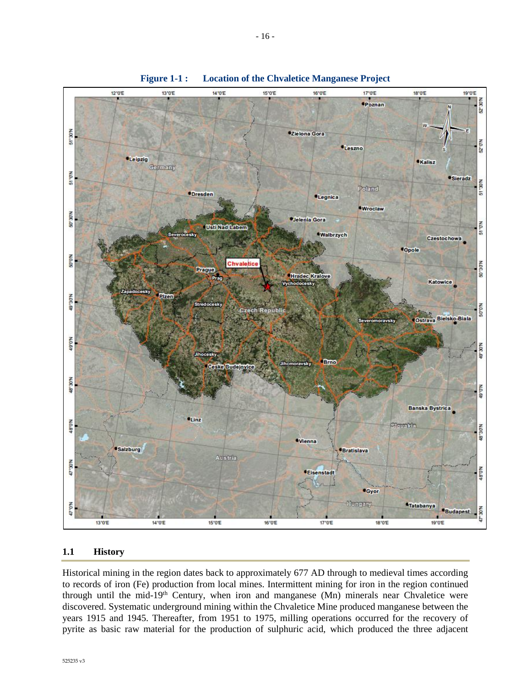

**Figure 1-1 : Location of the Chvaletice Manganese Project**

#### **1.1 History**

Historical mining in the region dates back to approximately 677 AD through to medieval times according to records of iron (Fe) production from local mines. Intermittent mining for iron in the region continued through until the mid-19<sup>th</sup> Century, when iron and manganese (Mn) minerals near Chvaletice were discovered. Systematic underground mining within the Chvaletice Mine produced manganese between the years 1915 and 1945. Thereafter, from 1951 to 1975, milling operations occurred for the recovery of pyrite as basic raw material for the production of sulphuric acid, which produced the three adjacent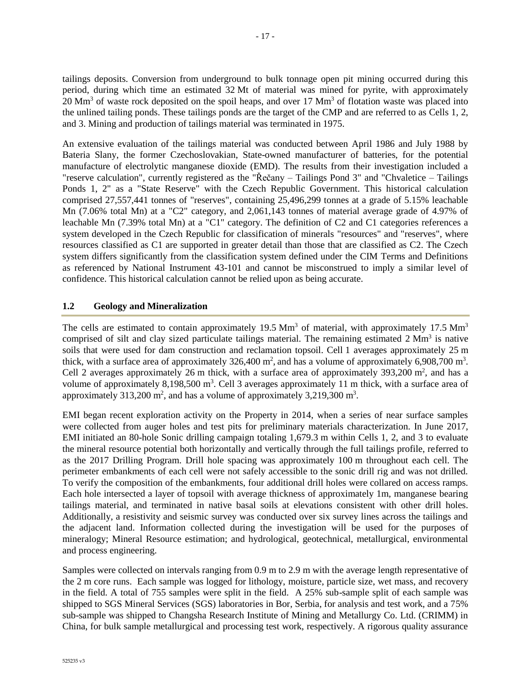tailings deposits. Conversion from underground to bulk tonnage open pit mining occurred during this period, during which time an estimated 32 Mt of material was mined for pyrite, with approximately 20 Mm<sup>3</sup> of waste rock deposited on the spoil heaps, and over 17 Mm<sup>3</sup> of flotation waste was placed into the unlined tailing ponds. These tailings ponds are the target of the CMP and are referred to as Cells 1, 2, and 3. Mining and production of tailings material was terminated in 1975.

An extensive evaluation of the tailings material was conducted between April 1986 and July 1988 by Bateria Slany, the former Czechoslovakian, State-owned manufacturer of batteries, for the potential manufacture of electrolytic manganese dioxide (EMD). The results from their investigation included a "reserve calculation", currently registered as the "Řečany – Tailings Pond 3" and "Chvaletice – Tailings Ponds 1, 2" as a "State Reserve" with the Czech Republic Government. This historical calculation comprised 27,557,441 tonnes of "reserves", containing 25,496,299 tonnes at a grade of 5.15% leachable Mn (7.06% total Mn) at a "C2" category, and 2,061,143 tonnes of material average grade of 4.97% of leachable Mn (7.39% total Mn) at a "C1" category. The definition of C2 and C1 categories references a system developed in the Czech Republic for classification of minerals "resources" and "reserves", where resources classified as C1 are supported in greater detail than those that are classified as C2. The Czech system differs significantly from the classification system defined under the CIM Terms and Definitions as referenced by National Instrument 43-101 and cannot be misconstrued to imply a similar level of confidence. This historical calculation cannot be relied upon as being accurate.

## **1.2 Geology and Mineralization**

The cells are estimated to contain approximately 19.5  $\text{Mm}^3$  of material, with approximately 17.5  $\text{Mm}^3$ comprised of silt and clay sized particulate tailings material. The remaining estimated  $2 \text{ Mm}^3$  is native soils that were used for dam construction and reclamation topsoil. Cell 1 averages approximately 25 m thick, with a surface area of approximately  $326,400 \text{ m}^2$ , and has a volume of approximately 6,908,700 m<sup>3</sup>. Cell 2 averages approximately 26 m thick, with a surface area of approximately 393,200  $m^2$ , and has a volume of approximately 8,198,500  $m<sup>3</sup>$ . Cell 3 averages approximately 11 m thick, with a surface area of approximately  $313,200$  m<sup>2</sup>, and has a volume of approximately  $3,219,300$  m<sup>3</sup>.

EMI began recent exploration activity on the Property in 2014, when a series of near surface samples were collected from auger holes and test pits for preliminary materials characterization. In June 2017, EMI initiated an 80-hole Sonic drilling campaign totaling 1,679.3 m within Cells 1, 2, and 3 to evaluate the mineral resource potential both horizontally and vertically through the full tailings profile, referred to as the 2017 Drilling Program. Drill hole spacing was approximately 100 m throughout each cell. The perimeter embankments of each cell were not safely accessible to the sonic drill rig and was not drilled. To verify the composition of the embankments, four additional drill holes were collared on access ramps. Each hole intersected a layer of topsoil with average thickness of approximately 1m, manganese bearing tailings material, and terminated in native basal soils at elevations consistent with other drill holes. Additionally, a resistivity and seismic survey was conducted over six survey lines across the tailings and the adjacent land. Information collected during the investigation will be used for the purposes of mineralogy; Mineral Resource estimation; and hydrological, geotechnical, metallurgical, environmental and process engineering.

Samples were collected on intervals ranging from 0.9 m to 2.9 m with the average length representative of the 2 m core runs. Each sample was logged for lithology, moisture, particle size, wet mass, and recovery in the field. A total of 755 samples were split in the field. A 25% sub-sample split of each sample was shipped to SGS Mineral Services (SGS) laboratories in Bor, Serbia, for analysis and test work, and a 75% sub-sample was shipped to Changsha Research Institute of Mining and Metallurgy Co. Ltd. (CRIMM) in China, for bulk sample metallurgical and processing test work, respectively. A rigorous quality assurance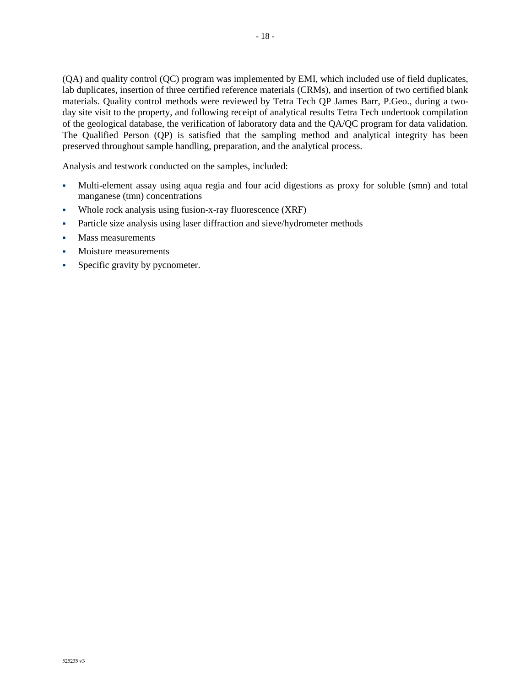(QA) and quality control (QC) program was implemented by EMI, which included use of field duplicates, lab duplicates, insertion of three certified reference materials (CRMs), and insertion of two certified blank materials. Quality control methods were reviewed by Tetra Tech QP James Barr, P.Geo., during a twoday site visit to the property, and following receipt of analytical results Tetra Tech undertook compilation of the geological database, the verification of laboratory data and the QA/QC program for data validation. The Qualified Person (QP) is satisfied that the sampling method and analytical integrity has been preserved throughout sample handling, preparation, and the analytical process.

Analysis and testwork conducted on the samples, included:

- Multi-element assay using aqua regia and four acid digestions as proxy for soluble (smn) and total manganese (tmn) concentrations
- Whole rock analysis using fusion-x-ray fluorescence (XRF)
- Particle size analysis using laser diffraction and sieve/hydrometer methods
- Mass measurements
- Moisture measurements
- Specific gravity by pycnometer.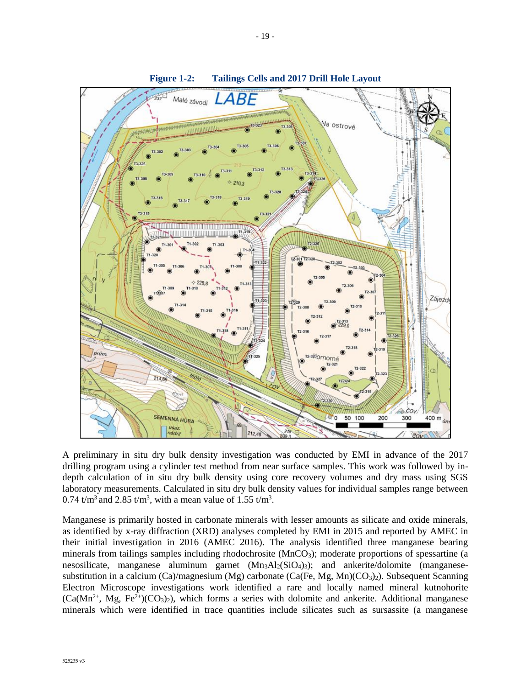

A preliminary in situ dry bulk density investigation was conducted by EMI in advance of the 2017 drilling program using a cylinder test method from near surface samples. This work was followed by indepth calculation of in situ dry bulk density using core recovery volumes and dry mass using SGS laboratory measurements. Calculated in situ dry bulk density values for individual samples range between 0.74 t/m<sup>3</sup> and 2.85 t/m<sup>3</sup>, with a mean value of 1.55 t/m<sup>3</sup>.

Manganese is primarily hosted in carbonate minerals with lesser amounts as silicate and oxide minerals, as identified by x-ray diffraction (XRD) analyses completed by EMI in 2015 and reported by AMEC in their initial investigation in 2016 (AMEC 2016). The analysis identified three manganese bearing minerals from tailings samples including rhodochrosite (MnCO<sub>3</sub>); moderate proportions of spessartine (a nesosilicate, manganese aluminum garnet  $(Mn_3A1_2(SiO_4)_3)$ ; and ankerite/dolomite (manganesesubstitution in a calcium (Ca)/magnesium (Mg) carbonate (Ca(Fe, Mg, Mn)(CO<sub>3</sub>)<sub>2</sub>). Subsequent Scanning Electron Microscope investigations work identified a rare and locally named mineral kutnohorite  $(Ca(Mn^{2+}, Mg, Fe^{2+})(CO<sub>3</sub>)<sub>2</sub>)$ , which forms a series with dolomite and ankerite. Additional manganese minerals which were identified in trace quantities include silicates such as sursassite (a manganese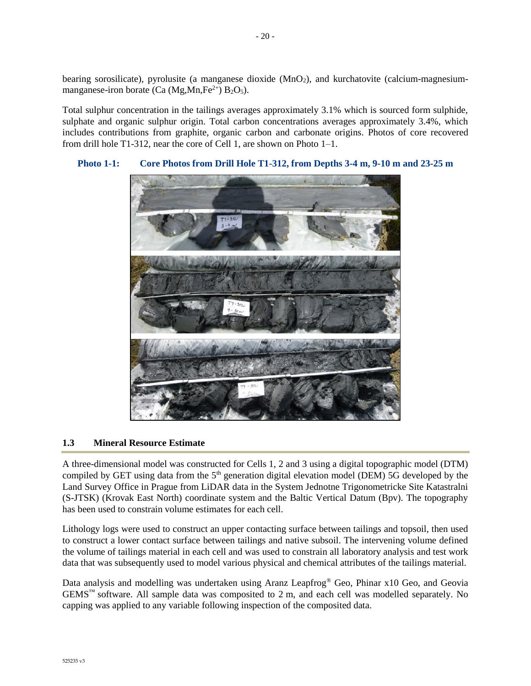bearing sorosilicate), pyrolusite (a manganese dioxide (MnO<sub>2</sub>), and kurchatovite (calcium-magnesiummanganese-iron borate (Ca (Mg, Mn,  $Fe^{2+}$ ) B<sub>2</sub>O<sub>5</sub>).

Total sulphur concentration in the tailings averages approximately 3.1% which is sourced form sulphide, sulphate and organic sulphur origin. Total carbon concentrations averages approximately 3.4%, which includes contributions from graphite, organic carbon and carbonate origins. Photos of core recovered from drill hole T1-312, near the core of Cell 1, are shown on Photo 1–1.



## **Photo 1-1: Core Photos from Drill Hole T1-312, from Depths 3-4 m, 9-10 m and 23-25 m**

## **1.3 Mineral Resource Estimate**

A three-dimensional model was constructed for Cells 1, 2 and 3 using a digital topographic model (DTM) compiled by GET using data from the 5<sup>th</sup> generation digital elevation model (DEM) 5G developed by the Land Survey Office in Prague from LiDAR data in the System Jednotne Trigonometricke Site Katastralni (S-JTSK) (Krovak East North) coordinate system and the Baltic Vertical Datum (Bpv). The topography has been used to constrain volume estimates for each cell.

Lithology logs were used to construct an upper contacting surface between tailings and topsoil, then used to construct a lower contact surface between tailings and native subsoil. The intervening volume defined the volume of tailings material in each cell and was used to constrain all laboratory analysis and test work data that was subsequently used to model various physical and chemical attributes of the tailings material.

Data analysis and modelling was undertaken using Aranz Leapfrog® Geo, Phinar x10 Geo, and Geovia  $GEMS<sup>TM</sup>$  software. All sample data was composited to 2 m, and each cell was modelled separately. No capping was applied to any variable following inspection of the composited data.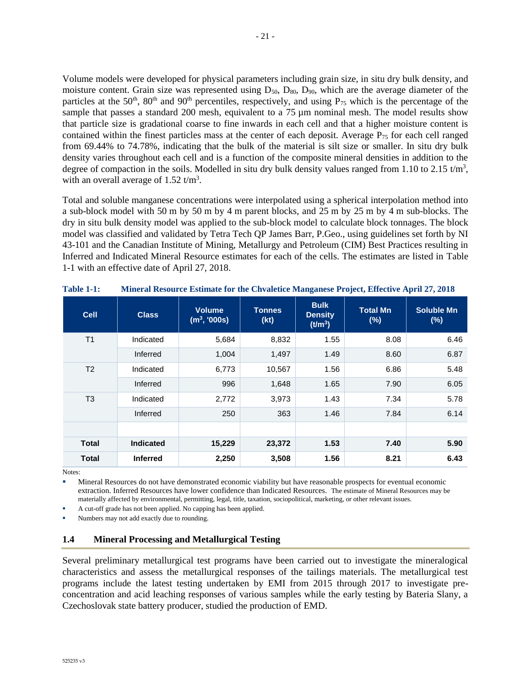Volume models were developed for physical parameters including grain size, in situ dry bulk density, and moisture content. Grain size was represented using  $D_{50}$ ,  $D_{80}$ ,  $D_{90}$ , which are the average diameter of the particles at the 50<sup>th</sup>, 80<sup>th</sup> and 90<sup>th</sup> percentiles, respectively, and using  $P_{75}$  which is the percentage of the sample that passes a standard 200 mesh, equivalent to a  $75 \mu m$  nominal mesh. The model results show that particle size is gradational coarse to fine inwards in each cell and that a higher moisture content is contained within the finest particles mass at the center of each deposit. Average  $P_{75}$  for each cell ranged from 69.44% to 74.78%, indicating that the bulk of the material is silt size or smaller. In situ dry bulk density varies throughout each cell and is a function of the composite mineral densities in addition to the degree of compaction in the soils. Modelled in situ dry bulk density values ranged from 1.10 to 2.15  $t/m<sup>3</sup>$ , with an overall average of  $1.52 \text{ t/m}^3$ .

Total and soluble manganese concentrations were interpolated using a spherical interpolation method into a sub-block model with 50 m by 50 m by 4 m parent blocks, and 25 m by 25 m by 4 m sub-blocks. The dry in situ bulk density model was applied to the sub-block model to calculate block tonnages. The block model was classified and validated by Tetra Tech QP James Barr, P.Geo., using guidelines set forth by NI 43-101 and the Canadian Institute of Mining, Metallurgy and Petroleum (CIM) Best Practices resulting in Inferred and Indicated Mineral Resource estimates for each of the cells. The estimates are listed in [Table](#page-23-0) [1-1](#page-23-0) with an effective date of April 27, 2018.

| <b>Cell</b>    | <b>Class</b>     | <b>Volume</b><br>$(m^3, 000s)$ | <b>Tonnes</b><br>(kt) | <b>Bulk</b><br><b>Density</b><br>(t/m <sup>3</sup> ) | <b>Total Mn</b><br>(%) | <b>Soluble Mn</b><br>(%) |
|----------------|------------------|--------------------------------|-----------------------|------------------------------------------------------|------------------------|--------------------------|
| T1             | Indicated        | 5,684                          | 8,832                 | 1.55                                                 | 8.08                   | 6.46                     |
|                | Inferred         | 1,004                          | 1,497                 | 1.49                                                 | 8.60                   | 6.87                     |
| T <sub>2</sub> | Indicated        | 6,773                          | 10,567                | 1.56                                                 | 6.86                   | 5.48                     |
|                | Inferred         | 996                            | 1,648                 | 1.65                                                 | 7.90                   | 6.05                     |
| T3             | Indicated        | 2,772                          | 3,973                 | 1.43                                                 | 7.34                   | 5.78                     |
|                | Inferred         | 250                            | 363                   | 1.46                                                 | 7.84                   | 6.14                     |
|                |                  |                                |                       |                                                      |                        |                          |
| <b>Total</b>   | <b>Indicated</b> | 15,229                         | 23,372                | 1.53                                                 | 7.40                   | 5.90                     |
| <b>Total</b>   | <b>Inferred</b>  | 2,250                          | 3,508                 | 1.56                                                 | 8.21                   | 6.43                     |

<span id="page-23-0"></span>**Table 1-1: Mineral Resource Estimate for the Chvaletice Manganese Project, Effective April 27, 2018**

Notes:

Mineral Resources do not have demonstrated economic viability but have reasonable prospects for eventual economic extraction. Inferred Resources have lower confidence than Indicated Resources. The estimate of Mineral Resources may be materially affected by environmental, permitting, legal, title, taxation, sociopolitical, marketing, or other relevant issues.

A cut-off grade has not been applied. No capping has been applied.

Numbers may not add exactly due to rounding.

## **1.4 Mineral Processing and Metallurgical Testing**

Several preliminary metallurgical test programs have been carried out to investigate the mineralogical characteristics and assess the metallurgical responses of the tailings materials. The metallurgical test programs include the latest testing undertaken by EMI from 2015 through 2017 to investigate preconcentration and acid leaching responses of various samples while the early testing by Bateria Slany, a Czechoslovak state battery producer, studied the production of EMD.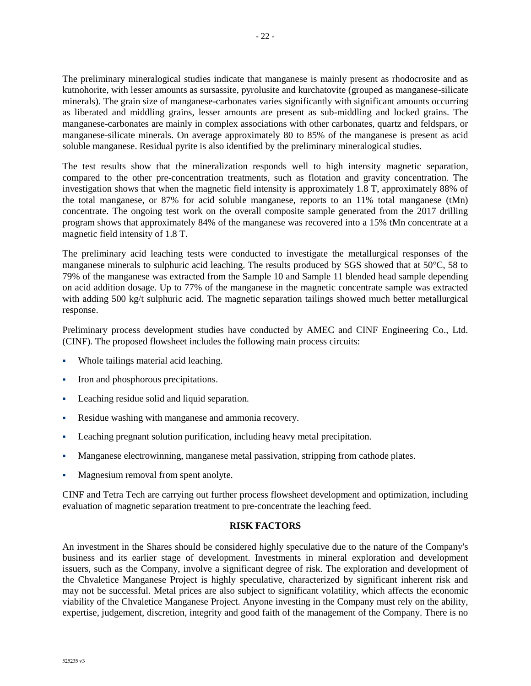The preliminary mineralogical studies indicate that manganese is mainly present as rhodocrosite and as kutnohorite, with lesser amounts as sursassite, pyrolusite and kurchatovite (grouped as manganese-silicate minerals). The grain size of manganese-carbonates varies significantly with significant amounts occurring as liberated and middling grains, lesser amounts are present as sub-middling and locked grains. The manganese-carbonates are mainly in complex associations with other carbonates, quartz and feldspars, or manganese-silicate minerals. On average approximately 80 to 85% of the manganese is present as acid soluble manganese. Residual pyrite is also identified by the preliminary mineralogical studies.

The test results show that the mineralization responds well to high intensity magnetic separation, compared to the other pre-concentration treatments, such as flotation and gravity concentration. The investigation shows that when the magnetic field intensity is approximately 1.8 T, approximately 88% of the total manganese, or 87% for acid soluble manganese, reports to an 11% total manganese (tMn) concentrate. The ongoing test work on the overall composite sample generated from the 2017 drilling program shows that approximately 84% of the manganese was recovered into a 15% tMn concentrate at a magnetic field intensity of 1.8 T.

The preliminary acid leaching tests were conducted to investigate the metallurgical responses of the manganese minerals to sulphuric acid leaching. The results produced by SGS showed that at 50°C, 58 to 79% of the manganese was extracted from the Sample 10 and Sample 11 blended head sample depending on acid addition dosage. Up to 77% of the manganese in the magnetic concentrate sample was extracted with adding 500 kg/t sulphuric acid. The magnetic separation tailings showed much better metallurgical response.

Preliminary process development studies have conducted by AMEC and CINF Engineering Co., Ltd. (CINF). The proposed flowsheet includes the following main process circuits:

- Whole tailings material acid leaching.
- Iron and phosphorous precipitations.
- Leaching residue solid and liquid separation.
- Residue washing with manganese and ammonia recovery.
- Leaching pregnant solution purification, including heavy metal precipitation.
- Manganese electrowinning, manganese metal passivation, stripping from cathode plates.
- Magnesium removal from spent anolyte.

CINF and Tetra Tech are carrying out further process flowsheet development and optimization, including evaluation of magnetic separation treatment to pre-concentrate the leaching feed.

#### **RISK FACTORS**

An investment in the Shares should be considered highly speculative due to the nature of the Company's business and its earlier stage of development. Investments in mineral exploration and development issuers, such as the Company, involve a significant degree of risk. The exploration and development of the Chvaletice Manganese Project is highly speculative, characterized by significant inherent risk and may not be successful. Metal prices are also subject to significant volatility, which affects the economic viability of the Chvaletice Manganese Project. Anyone investing in the Company must rely on the ability, expertise, judgement, discretion, integrity and good faith of the management of the Company. There is no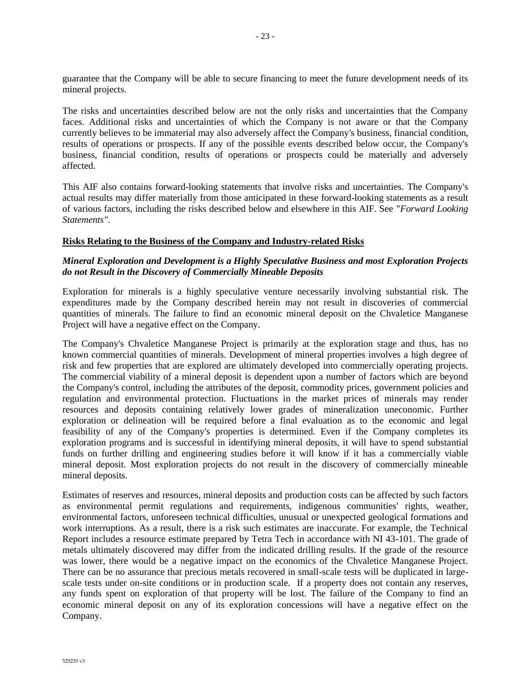guarantee that the Company will be able to secure financing to meet the future development needs of its mineral projects.

The risks and uncertainties described below are not the only risks and uncertainties that the Company faces. Additional risks and uncertainties of which the Company is not aware or that the Company currently believes to be immaterial may also adversely affect the Company's business, financial condition, results of operations or prospects. If any of the possible events described below occur, the Company's business, financial condition, results of operations or prospects could be materially and adversely affected.

This AIF also contains forward-looking statements that involve risks and uncertainties. The Company's actual results may differ materially from those anticipated in these forward-looking statements as a result of various factors, including the risks described below and elsewhere in this AIF. See "*Forward Looking Statements"*.

#### **Risks Relating to the Business of the Company and Industry-related Risks**

## *Mineral Exploration and Development is a Highly Speculative Business and most Exploration Projects do not Result in the Discovery of Commercially Mineable Deposits*

Exploration for minerals is a highly speculative venture necessarily involving substantial risk. The expenditures made by the Company described herein may not result in discoveries of commercial quantities of minerals. The failure to find an economic mineral deposit on the Chvaletice Manganese Project will have a negative effect on the Company.

The Company's Chvaletice Manganese Project is primarily at the exploration stage and thus, has no known commercial quantities of minerals. Development of mineral properties involves a high degree of risk and few properties that are explored are ultimately developed into commercially operating projects. The commercial viability of a mineral deposit is dependent upon a number of factors which are beyond the Company's control, including the attributes of the deposit, commodity prices, government policies and regulation and environmental protection. Fluctuations in the market prices of minerals may render resources and deposits containing relatively lower grades of mineralization uneconomic. Further exploration or delineation will be required before a final evaluation as to the economic and legal feasibility of any of the Company's properties is determined. Even if the Company completes its exploration programs and is successful in identifying mineral deposits, it will have to spend substantial funds on further drilling and engineering studies before it will know if it has a commercially viable mineral deposit. Most exploration projects do not result in the discovery of commercially mineable mineral deposits.

Estimates of reserves and resources, mineral deposits and production costs can be affected by such factors as environmental permit regulations and requirements, indigenous communities' rights, weather, environmental factors, unforeseen technical difficulties, unusual or unexpected geological formations and work interruptions. As a result, there is a risk such estimates are inaccurate. For example, the Technical Report includes a resource estimate prepared by Tetra Tech in accordance with NI 43-101. The grade of metals ultimately discovered may differ from the indicated drilling results. If the grade of the resource was lower, there would be a negative impact on the economics of the Chvaletice Manganese Project. There can be no assurance that precious metals recovered in small-scale tests will be duplicated in largescale tests under on-site conditions or in production scale. If a property does not contain any reserves, any funds spent on exploration of that property will be lost. The failure of the Company to find an economic mineral deposit on any of its exploration concessions will have a negative effect on the Company.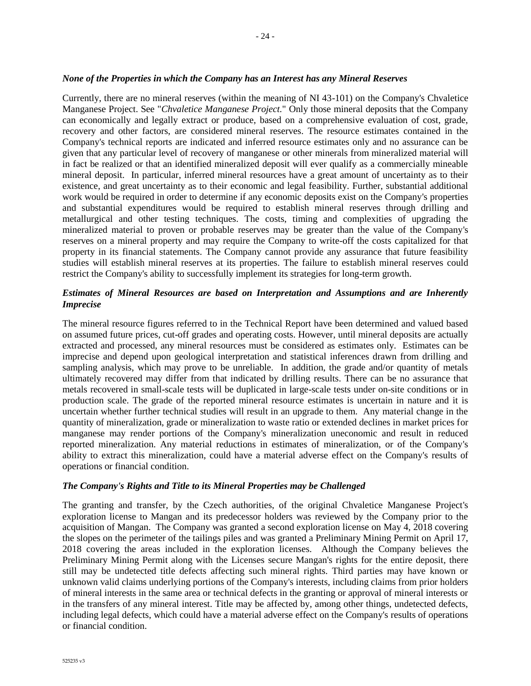#### *None of the Properties in which the Company has an Interest has any Mineral Reserves*

Currently, there are no mineral reserves (within the meaning of NI 43-101) on the Company's Chvaletice Manganese Project. See "*Chvaletice Manganese Project.*" Only those mineral deposits that the Company can economically and legally extract or produce, based on a comprehensive evaluation of cost, grade, recovery and other factors, are considered mineral reserves. The resource estimates contained in the Company's technical reports are indicated and inferred resource estimates only and no assurance can be given that any particular level of recovery of manganese or other minerals from mineralized material will in fact be realized or that an identified mineralized deposit will ever qualify as a commercially mineable mineral deposit. In particular, inferred mineral resources have a great amount of uncertainty as to their existence, and great uncertainty as to their economic and legal feasibility. Further, substantial additional work would be required in order to determine if any economic deposits exist on the Company's properties and substantial expenditures would be required to establish mineral reserves through drilling and metallurgical and other testing techniques. The costs, timing and complexities of upgrading the mineralized material to proven or probable reserves may be greater than the value of the Company's reserves on a mineral property and may require the Company to write-off the costs capitalized for that property in its financial statements. The Company cannot provide any assurance that future feasibility studies will establish mineral reserves at its properties. The failure to establish mineral reserves could restrict the Company's ability to successfully implement its strategies for long-term growth.

## *Estimates of Mineral Resources are based on Interpretation and Assumptions and are Inherently Imprecise*

The mineral resource figures referred to in the Technical Report have been determined and valued based on assumed future prices, cut-off grades and operating costs. However, until mineral deposits are actually extracted and processed, any mineral resources must be considered as estimates only. Estimates can be imprecise and depend upon geological interpretation and statistical inferences drawn from drilling and sampling analysis, which may prove to be unreliable. In addition, the grade and/or quantity of metals ultimately recovered may differ from that indicated by drilling results. There can be no assurance that metals recovered in small-scale tests will be duplicated in large-scale tests under on-site conditions or in production scale. The grade of the reported mineral resource estimates is uncertain in nature and it is uncertain whether further technical studies will result in an upgrade to them. Any material change in the quantity of mineralization, grade or mineralization to waste ratio or extended declines in market prices for manganese may render portions of the Company's mineralization uneconomic and result in reduced reported mineralization. Any material reductions in estimates of mineralization, or of the Company's ability to extract this mineralization, could have a material adverse effect on the Company's results of operations or financial condition.

#### *The Company's Rights and Title to its Mineral Properties may be Challenged*

The granting and transfer, by the Czech authorities, of the original Chvaletice Manganese Project's exploration license to Mangan and its predecessor holders was reviewed by the Company prior to the acquisition of Mangan. The Company was granted a second exploration license on May 4, 2018 covering the slopes on the perimeter of the tailings piles and was granted a Preliminary Mining Permit on April 17, 2018 covering the areas included in the exploration licenses. Although the Company believes the Preliminary Mining Permit along with the Licenses secure Mangan's rights for the entire deposit, there still may be undetected title defects affecting such mineral rights. Third parties may have known or unknown valid claims underlying portions of the Company's interests, including claims from prior holders of mineral interests in the same area or technical defects in the granting or approval of mineral interests or in the transfers of any mineral interest. Title may be affected by, among other things, undetected defects, including legal defects, which could have a material adverse effect on the Company's results of operations or financial condition.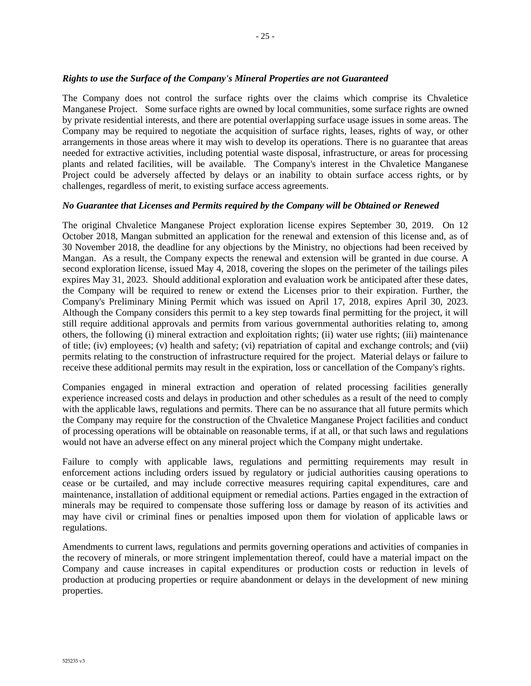#### *Rights to use the Surface of the Company's Mineral Properties are not Guaranteed*

The Company does not control the surface rights over the claims which comprise its Chvaletice Manganese Project. Some surface rights are owned by local communities, some surface rights are owned by private residential interests, and there are potential overlapping surface usage issues in some areas. The Company may be required to negotiate the acquisition of surface rights, leases, rights of way, or other arrangements in those areas where it may wish to develop its operations. There is no guarantee that areas needed for extractive activities, including potential waste disposal, infrastructure, or areas for processing plants and related facilities, will be available. The Company's interest in the Chvaletice Manganese Project could be adversely affected by delays or an inability to obtain surface access rights, or by challenges, regardless of merit, to existing surface access agreements.

#### *No Guarantee that Licenses and Permits required by the Company will be Obtained or Renewed*

The original Chvaletice Manganese Project exploration license expires September 30, 2019. On 12 October 2018, Mangan submitted an application for the renewal and extension of this license and, as of 30 November 2018, the deadline for any objections by the Ministry, no objections had been received by Mangan. As a result, the Company expects the renewal and extension will be granted in due course. A second exploration license, issued May 4, 2018, covering the slopes on the perimeter of the tailings piles expires May 31, 2023. Should additional exploration and evaluation work be anticipated after these dates, the Company will be required to renew or extend the Licenses prior to their expiration. Further, the Company's Preliminary Mining Permit which was issued on April 17, 2018, expires April 30, 2023. Although the Company considers this permit to a key step towards final permitting for the project, it will still require additional approvals and permits from various governmental authorities relating to, among others, the following (i) mineral extraction and exploitation rights; (ii) water use rights; (iii) maintenance of title; (iv) employees; (v) health and safety; (vi) repatriation of capital and exchange controls; and (vii) permits relating to the construction of infrastructure required for the project. Material delays or failure to receive these additional permits may result in the expiration, loss or cancellation of the Company's rights.

Companies engaged in mineral extraction and operation of related processing facilities generally experience increased costs and delays in production and other schedules as a result of the need to comply with the applicable laws, regulations and permits. There can be no assurance that all future permits which the Company may require for the construction of the Chvaletice Manganese Project facilities and conduct of processing operations will be obtainable on reasonable terms, if at all, or that such laws and regulations would not have an adverse effect on any mineral project which the Company might undertake.

Failure to comply with applicable laws, regulations and permitting requirements may result in enforcement actions including orders issued by regulatory or judicial authorities causing operations to cease or be curtailed, and may include corrective measures requiring capital expenditures, care and maintenance, installation of additional equipment or remedial actions. Parties engaged in the extraction of minerals may be required to compensate those suffering loss or damage by reason of its activities and may have civil or criminal fines or penalties imposed upon them for violation of applicable laws or regulations.

Amendments to current laws, regulations and permits governing operations and activities of companies in the recovery of minerals, or more stringent implementation thereof, could have a material impact on the Company and cause increases in capital expenditures or production costs or reduction in levels of production at producing properties or require abandonment or delays in the development of new mining properties.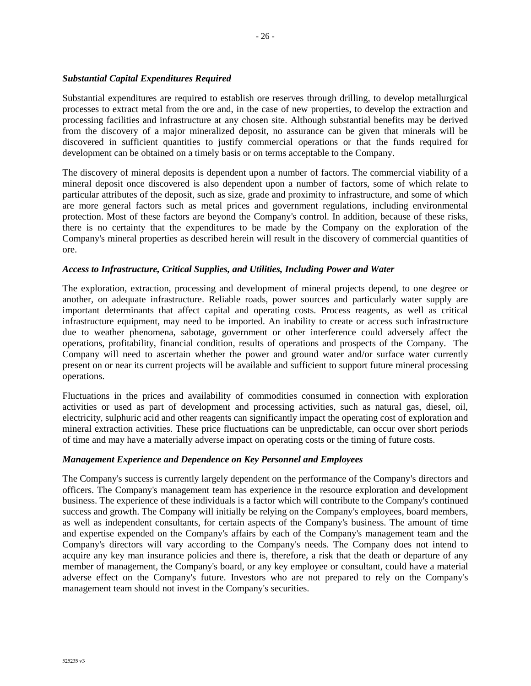## *Substantial Capital Expenditures Required*

Substantial expenditures are required to establish ore reserves through drilling, to develop metallurgical processes to extract metal from the ore and, in the case of new properties, to develop the extraction and processing facilities and infrastructure at any chosen site. Although substantial benefits may be derived from the discovery of a major mineralized deposit, no assurance can be given that minerals will be discovered in sufficient quantities to justify commercial operations or that the funds required for development can be obtained on a timely basis or on terms acceptable to the Company.

The discovery of mineral deposits is dependent upon a number of factors. The commercial viability of a mineral deposit once discovered is also dependent upon a number of factors, some of which relate to particular attributes of the deposit, such as size, grade and proximity to infrastructure, and some of which are more general factors such as metal prices and government regulations, including environmental protection. Most of these factors are beyond the Company's control. In addition, because of these risks, there is no certainty that the expenditures to be made by the Company on the exploration of the Company's mineral properties as described herein will result in the discovery of commercial quantities of ore.

## *Access to Infrastructure, Critical Supplies, and Utilities, Including Power and Water*

The exploration, extraction, processing and development of mineral projects depend, to one degree or another, on adequate infrastructure. Reliable roads, power sources and particularly water supply are important determinants that affect capital and operating costs. Process reagents, as well as critical infrastructure equipment, may need to be imported. An inability to create or access such infrastructure due to weather phenomena, sabotage, government or other interference could adversely affect the operations, profitability, financial condition, results of operations and prospects of the Company. The Company will need to ascertain whether the power and ground water and/or surface water currently present on or near its current projects will be available and sufficient to support future mineral processing operations.

Fluctuations in the prices and availability of commodities consumed in connection with exploration activities or used as part of development and processing activities, such as natural gas, diesel, oil, electricity, sulphuric acid and other reagents can significantly impact the operating cost of exploration and mineral extraction activities. These price fluctuations can be unpredictable, can occur over short periods of time and may have a materially adverse impact on operating costs or the timing of future costs.

#### *Management Experience and Dependence on Key Personnel and Employees*

The Company's success is currently largely dependent on the performance of the Company's directors and officers. The Company's management team has experience in the resource exploration and development business. The experience of these individuals is a factor which will contribute to the Company's continued success and growth. The Company will initially be relying on the Company's employees, board members, as well as independent consultants, for certain aspects of the Company's business. The amount of time and expertise expended on the Company's affairs by each of the Company's management team and the Company's directors will vary according to the Company's needs. The Company does not intend to acquire any key man insurance policies and there is, therefore, a risk that the death or departure of any member of management, the Company's board, or any key employee or consultant, could have a material adverse effect on the Company's future. Investors who are not prepared to rely on the Company's management team should not invest in the Company's securities.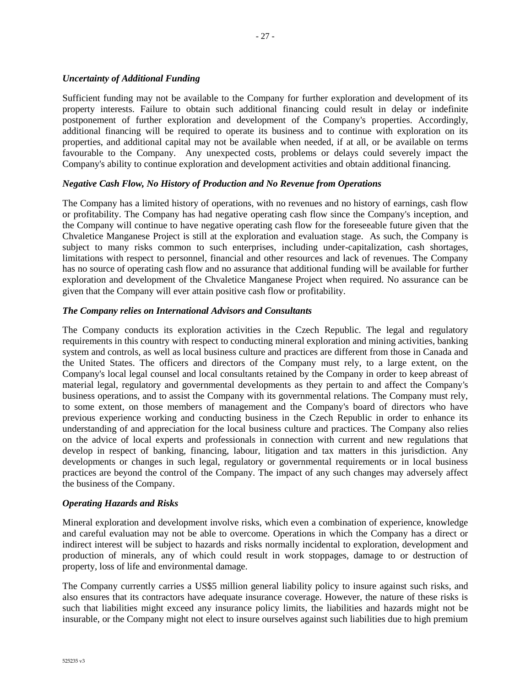## *Uncertainty of Additional Funding*

Sufficient funding may not be available to the Company for further exploration and development of its property interests. Failure to obtain such additional financing could result in delay or indefinite postponement of further exploration and development of the Company's properties. Accordingly, additional financing will be required to operate its business and to continue with exploration on its properties, and additional capital may not be available when needed, if at all, or be available on terms favourable to the Company. Any unexpected costs, problems or delays could severely impact the Company's ability to continue exploration and development activities and obtain additional financing.

## *Negative Cash Flow, No History of Production and No Revenue from Operations*

The Company has a limited history of operations, with no revenues and no history of earnings, cash flow or profitability. The Company has had negative operating cash flow since the Company's inception, and the Company will continue to have negative operating cash flow for the foreseeable future given that the Chvaletice Manganese Project is still at the exploration and evaluation stage. As such, the Company is subject to many risks common to such enterprises, including under-capitalization, cash shortages, limitations with respect to personnel, financial and other resources and lack of revenues. The Company has no source of operating cash flow and no assurance that additional funding will be available for further exploration and development of the Chvaletice Manganese Project when required. No assurance can be given that the Company will ever attain positive cash flow or profitability.

#### *The Company relies on International Advisors and Consultants*

The Company conducts its exploration activities in the Czech Republic. The legal and regulatory requirements in this country with respect to conducting mineral exploration and mining activities, banking system and controls, as well as local business culture and practices are different from those in Canada and the United States. The officers and directors of the Company must rely, to a large extent, on the Company's local legal counsel and local consultants retained by the Company in order to keep abreast of material legal, regulatory and governmental developments as they pertain to and affect the Company's business operations, and to assist the Company with its governmental relations. The Company must rely, to some extent, on those members of management and the Company's board of directors who have previous experience working and conducting business in the Czech Republic in order to enhance its understanding of and appreciation for the local business culture and practices. The Company also relies on the advice of local experts and professionals in connection with current and new regulations that develop in respect of banking, financing, labour, litigation and tax matters in this jurisdiction. Any developments or changes in such legal, regulatory or governmental requirements or in local business practices are beyond the control of the Company. The impact of any such changes may adversely affect the business of the Company.

#### *Operating Hazards and Risks*

Mineral exploration and development involve risks, which even a combination of experience, knowledge and careful evaluation may not be able to overcome. Operations in which the Company has a direct or indirect interest will be subject to hazards and risks normally incidental to exploration, development and production of minerals, any of which could result in work stoppages, damage to or destruction of property, loss of life and environmental damage.

The Company currently carries a US\$5 million general liability policy to insure against such risks, and also ensures that its contractors have adequate insurance coverage. However, the nature of these risks is such that liabilities might exceed any insurance policy limits, the liabilities and hazards might not be insurable, or the Company might not elect to insure ourselves against such liabilities due to high premium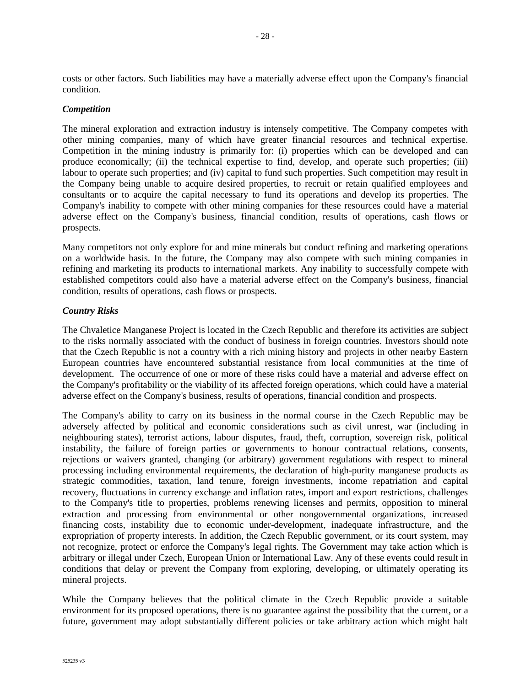costs or other factors. Such liabilities may have a materially adverse effect upon the Company's financial condition.

#### *Competition*

The mineral exploration and extraction industry is intensely competitive. The Company competes with other mining companies, many of which have greater financial resources and technical expertise. Competition in the mining industry is primarily for: (i) properties which can be developed and can produce economically; (ii) the technical expertise to find, develop, and operate such properties; (iii) labour to operate such properties; and (iv) capital to fund such properties. Such competition may result in the Company being unable to acquire desired properties, to recruit or retain qualified employees and consultants or to acquire the capital necessary to fund its operations and develop its properties. The Company's inability to compete with other mining companies for these resources could have a material adverse effect on the Company's business, financial condition, results of operations, cash flows or prospects.

Many competitors not only explore for and mine minerals but conduct refining and marketing operations on a worldwide basis. In the future, the Company may also compete with such mining companies in refining and marketing its products to international markets. Any inability to successfully compete with established competitors could also have a material adverse effect on the Company's business, financial condition, results of operations, cash flows or prospects.

#### *Country Risks*

The Chvaletice Manganese Project is located in the Czech Republic and therefore its activities are subject to the risks normally associated with the conduct of business in foreign countries. Investors should note that the Czech Republic is not a country with a rich mining history and projects in other nearby Eastern European countries have encountered substantial resistance from local communities at the time of development. The occurrence of one or more of these risks could have a material and adverse effect on the Company's profitability or the viability of its affected foreign operations, which could have a material adverse effect on the Company's business, results of operations, financial condition and prospects.

The Company's ability to carry on its business in the normal course in the Czech Republic may be adversely affected by political and economic considerations such as civil unrest, war (including in neighbouring states), terrorist actions, labour disputes, fraud, theft, corruption, sovereign risk, political instability, the failure of foreign parties or governments to honour contractual relations, consents, rejections or waivers granted, changing (or arbitrary) government regulations with respect to mineral processing including environmental requirements, the declaration of high-purity manganese products as strategic commodities, taxation, land tenure, foreign investments, income repatriation and capital recovery, fluctuations in currency exchange and inflation rates, import and export restrictions, challenges to the Company's title to properties, problems renewing licenses and permits, opposition to mineral extraction and processing from environmental or other nongovernmental organizations, increased financing costs, instability due to economic under-development, inadequate infrastructure, and the expropriation of property interests. In addition, the Czech Republic government, or its court system, may not recognize, protect or enforce the Company's legal rights. The Government may take action which is arbitrary or illegal under Czech, European Union or International Law. Any of these events could result in conditions that delay or prevent the Company from exploring, developing, or ultimately operating its mineral projects.

While the Company believes that the political climate in the Czech Republic provide a suitable environment for its proposed operations, there is no guarantee against the possibility that the current, or a future, government may adopt substantially different policies or take arbitrary action which might halt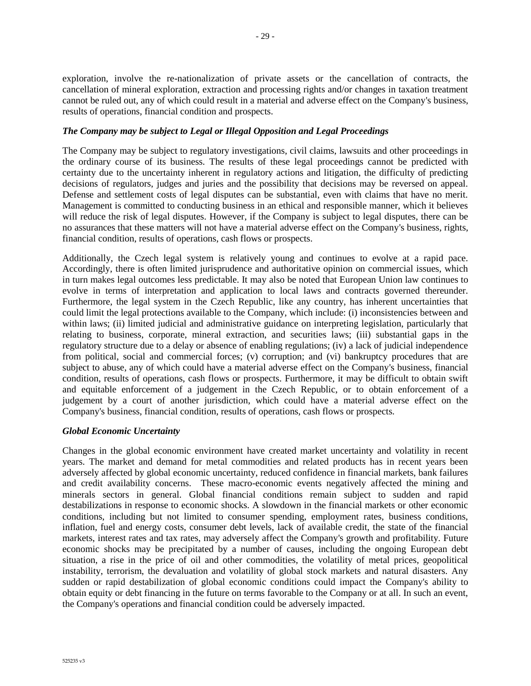exploration, involve the re-nationalization of private assets or the cancellation of contracts, the cancellation of mineral exploration, extraction and processing rights and/or changes in taxation treatment cannot be ruled out, any of which could result in a material and adverse effect on the Company's business, results of operations, financial condition and prospects.

## *The Company may be subject to Legal or Illegal Opposition and Legal Proceedings*

The Company may be subject to regulatory investigations, civil claims, lawsuits and other proceedings in the ordinary course of its business. The results of these legal proceedings cannot be predicted with certainty due to the uncertainty inherent in regulatory actions and litigation, the difficulty of predicting decisions of regulators, judges and juries and the possibility that decisions may be reversed on appeal. Defense and settlement costs of legal disputes can be substantial, even with claims that have no merit. Management is committed to conducting business in an ethical and responsible manner, which it believes will reduce the risk of legal disputes. However, if the Company is subject to legal disputes, there can be no assurances that these matters will not have a material adverse effect on the Company's business, rights, financial condition, results of operations, cash flows or prospects.

Additionally, the Czech legal system is relatively young and continues to evolve at a rapid pace. Accordingly, there is often limited jurisprudence and authoritative opinion on commercial issues, which in turn makes legal outcomes less predictable. It may also be noted that European Union law continues to evolve in terms of interpretation and application to local laws and contracts governed thereunder. Furthermore, the legal system in the Czech Republic, like any country, has inherent uncertainties that could limit the legal protections available to the Company, which include: (i) inconsistencies between and within laws; (ii) limited judicial and administrative guidance on interpreting legislation, particularly that relating to business, corporate, mineral extraction, and securities laws; (iii) substantial gaps in the regulatory structure due to a delay or absence of enabling regulations; (iv) a lack of judicial independence from political, social and commercial forces; (v) corruption; and (vi) bankruptcy procedures that are subject to abuse, any of which could have a material adverse effect on the Company's business, financial condition, results of operations, cash flows or prospects. Furthermore, it may be difficult to obtain swift and equitable enforcement of a judgement in the Czech Republic, or to obtain enforcement of a judgement by a court of another jurisdiction, which could have a material adverse effect on the Company's business, financial condition, results of operations, cash flows or prospects.

## *Global Economic Uncertainty*

Changes in the global economic environment have created market uncertainty and volatility in recent years. The market and demand for metal commodities and related products has in recent years been adversely affected by global economic uncertainty, reduced confidence in financial markets, bank failures and credit availability concerns. These macro-economic events negatively affected the mining and minerals sectors in general. Global financial conditions remain subject to sudden and rapid destabilizations in response to economic shocks. A slowdown in the financial markets or other economic conditions, including but not limited to consumer spending, employment rates, business conditions, inflation, fuel and energy costs, consumer debt levels, lack of available credit, the state of the financial markets, interest rates and tax rates, may adversely affect the Company's growth and profitability. Future economic shocks may be precipitated by a number of causes, including the ongoing European debt situation, a rise in the price of oil and other commodities, the volatility of metal prices, geopolitical instability, terrorism, the devaluation and volatility of global stock markets and natural disasters. Any sudden or rapid destabilization of global economic conditions could impact the Company's ability to obtain equity or debt financing in the future on terms favorable to the Company or at all. In such an event, the Company's operations and financial condition could be adversely impacted.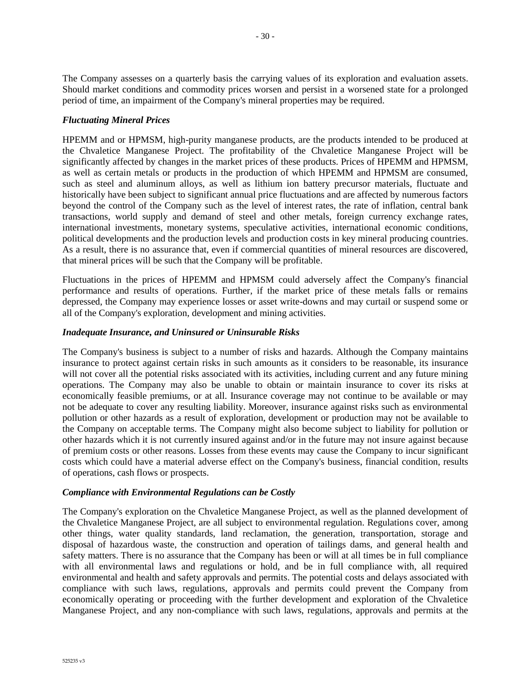The Company assesses on a quarterly basis the carrying values of its exploration and evaluation assets. Should market conditions and commodity prices worsen and persist in a worsened state for a prolonged period of time, an impairment of the Company's mineral properties may be required.

#### *Fluctuating Mineral Prices*

HPEMM and or HPMSM, high-purity manganese products, are the products intended to be produced at the Chvaletice Manganese Project. The profitability of the Chvaletice Manganese Project will be significantly affected by changes in the market prices of these products. Prices of HPEMM and HPMSM, as well as certain metals or products in the production of which HPEMM and HPMSM are consumed, such as steel and aluminum alloys, as well as lithium ion battery precursor materials, fluctuate and historically have been subject to significant annual price fluctuations and are affected by numerous factors beyond the control of the Company such as the level of interest rates, the rate of inflation, central bank transactions, world supply and demand of steel and other metals, foreign currency exchange rates, international investments, monetary systems, speculative activities, international economic conditions, political developments and the production levels and production costs in key mineral producing countries. As a result, there is no assurance that, even if commercial quantities of mineral resources are discovered, that mineral prices will be such that the Company will be profitable.

Fluctuations in the prices of HPEMM and HPMSM could adversely affect the Company's financial performance and results of operations. Further, if the market price of these metals falls or remains depressed, the Company may experience losses or asset write-downs and may curtail or suspend some or all of the Company's exploration, development and mining activities.

### *Inadequate Insurance, and Uninsured or Uninsurable Risks*

The Company's business is subject to a number of risks and hazards. Although the Company maintains insurance to protect against certain risks in such amounts as it considers to be reasonable, its insurance will not cover all the potential risks associated with its activities, including current and any future mining operations. The Company may also be unable to obtain or maintain insurance to cover its risks at economically feasible premiums, or at all. Insurance coverage may not continue to be available or may not be adequate to cover any resulting liability. Moreover, insurance against risks such as environmental pollution or other hazards as a result of exploration, development or production may not be available to the Company on acceptable terms. The Company might also become subject to liability for pollution or other hazards which it is not currently insured against and/or in the future may not insure against because of premium costs or other reasons. Losses from these events may cause the Company to incur significant costs which could have a material adverse effect on the Company's business, financial condition, results of operations, cash flows or prospects.

#### *Compliance with Environmental Regulations can be Costly*

The Company's exploration on the Chvaletice Manganese Project, as well as the planned development of the Chvaletice Manganese Project, are all subject to environmental regulation. Regulations cover, among other things, water quality standards, land reclamation, the generation, transportation, storage and disposal of hazardous waste, the construction and operation of tailings dams, and general health and safety matters. There is no assurance that the Company has been or will at all times be in full compliance with all environmental laws and regulations or hold, and be in full compliance with, all required environmental and health and safety approvals and permits. The potential costs and delays associated with compliance with such laws, regulations, approvals and permits could prevent the Company from economically operating or proceeding with the further development and exploration of the Chvaletice Manganese Project, and any non-compliance with such laws, regulations, approvals and permits at the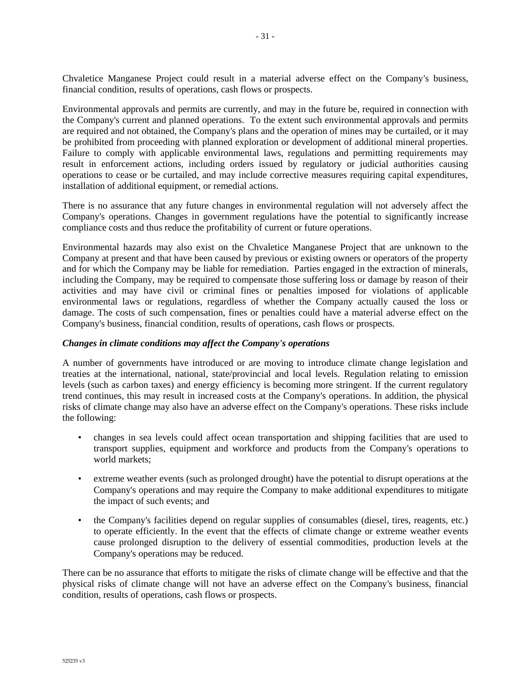Chvaletice Manganese Project could result in a material adverse effect on the Company's business, financial condition, results of operations, cash flows or prospects.

Environmental approvals and permits are currently, and may in the future be, required in connection with the Company's current and planned operations. To the extent such environmental approvals and permits are required and not obtained, the Company's plans and the operation of mines may be curtailed, or it may be prohibited from proceeding with planned exploration or development of additional mineral properties. Failure to comply with applicable environmental laws, regulations and permitting requirements may result in enforcement actions, including orders issued by regulatory or judicial authorities causing operations to cease or be curtailed, and may include corrective measures requiring capital expenditures, installation of additional equipment, or remedial actions.

There is no assurance that any future changes in environmental regulation will not adversely affect the Company's operations. Changes in government regulations have the potential to significantly increase compliance costs and thus reduce the profitability of current or future operations.

Environmental hazards may also exist on the Chvaletice Manganese Project that are unknown to the Company at present and that have been caused by previous or existing owners or operators of the property and for which the Company may be liable for remediation. Parties engaged in the extraction of minerals, including the Company, may be required to compensate those suffering loss or damage by reason of their activities and may have civil or criminal fines or penalties imposed for violations of applicable environmental laws or regulations, regardless of whether the Company actually caused the loss or damage. The costs of such compensation, fines or penalties could have a material adverse effect on the Company's business, financial condition, results of operations, cash flows or prospects.

#### *Changes in climate conditions may affect the Company's operations*

A number of governments have introduced or are moving to introduce climate change legislation and treaties at the international, national, state/provincial and local levels. Regulation relating to emission levels (such as carbon taxes) and energy efficiency is becoming more stringent. If the current regulatory trend continues, this may result in increased costs at the Company's operations. In addition, the physical risks of climate change may also have an adverse effect on the Company's operations. These risks include the following:

- changes in sea levels could affect ocean transportation and shipping facilities that are used to transport supplies, equipment and workforce and products from the Company's operations to world markets;
- extreme weather events (such as prolonged drought) have the potential to disrupt operations at the Company's operations and may require the Company to make additional expenditures to mitigate the impact of such events; and
- the Company's facilities depend on regular supplies of consumables (diesel, tires, reagents, etc.) to operate efficiently. In the event that the effects of climate change or extreme weather events cause prolonged disruption to the delivery of essential commodities, production levels at the Company's operations may be reduced.

There can be no assurance that efforts to mitigate the risks of climate change will be effective and that the physical risks of climate change will not have an adverse effect on the Company's business, financial condition, results of operations, cash flows or prospects.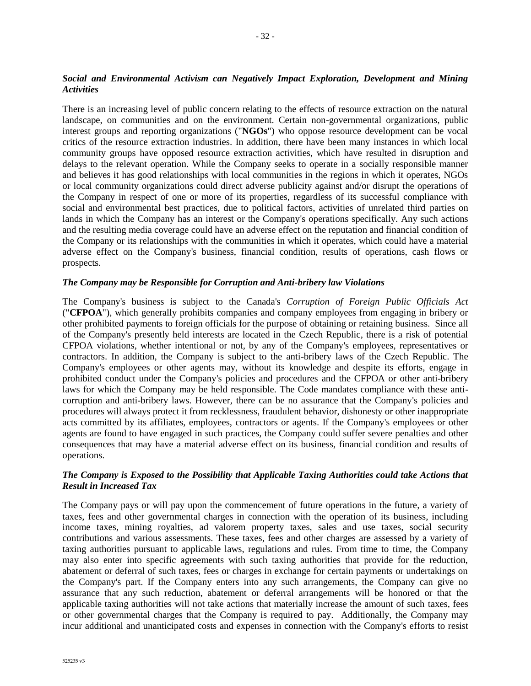## *Social and Environmental Activism can Negatively Impact Exploration, Development and Mining Activities*

There is an increasing level of public concern relating to the effects of resource extraction on the natural landscape, on communities and on the environment. Certain non-governmental organizations, public interest groups and reporting organizations ("**NGOs**") who oppose resource development can be vocal critics of the resource extraction industries. In addition, there have been many instances in which local community groups have opposed resource extraction activities, which have resulted in disruption and delays to the relevant operation. While the Company seeks to operate in a socially responsible manner and believes it has good relationships with local communities in the regions in which it operates, NGOs or local community organizations could direct adverse publicity against and/or disrupt the operations of the Company in respect of one or more of its properties, regardless of its successful compliance with social and environmental best practices, due to political factors, activities of unrelated third parties on lands in which the Company has an interest or the Company's operations specifically. Any such actions and the resulting media coverage could have an adverse effect on the reputation and financial condition of the Company or its relationships with the communities in which it operates, which could have a material adverse effect on the Company's business, financial condition, results of operations, cash flows or prospects.

#### *The Company may be Responsible for Corruption and Anti-bribery law Violations*

The Company's business is subject to the Canada's *Corruption of Foreign Public Officials Act* ("**CFPOA**"), which generally prohibits companies and company employees from engaging in bribery or other prohibited payments to foreign officials for the purpose of obtaining or retaining business. Since all of the Company's presently held interests are located in the Czech Republic, there is a risk of potential CFPOA violations, whether intentional or not, by any of the Company's employees, representatives or contractors. In addition, the Company is subject to the anti-bribery laws of the Czech Republic. The Company's employees or other agents may, without its knowledge and despite its efforts, engage in prohibited conduct under the Company's policies and procedures and the CFPOA or other anti-bribery laws for which the Company may be held responsible. The Code mandates compliance with these anticorruption and anti-bribery laws. However, there can be no assurance that the Company's policies and procedures will always protect it from recklessness, fraudulent behavior, dishonesty or other inappropriate acts committed by its affiliates, employees, contractors or agents. If the Company's employees or other agents are found to have engaged in such practices, the Company could suffer severe penalties and other consequences that may have a material adverse effect on its business, financial condition and results of operations.

## *The Company is Exposed to the Possibility that Applicable Taxing Authorities could take Actions that Result in Increased Tax*

The Company pays or will pay upon the commencement of future operations in the future, a variety of taxes, fees and other governmental charges in connection with the operation of its business, including income taxes, mining royalties, ad valorem property taxes, sales and use taxes, social security contributions and various assessments. These taxes, fees and other charges are assessed by a variety of taxing authorities pursuant to applicable laws, regulations and rules. From time to time, the Company may also enter into specific agreements with such taxing authorities that provide for the reduction, abatement or deferral of such taxes, fees or charges in exchange for certain payments or undertakings on the Company's part. If the Company enters into any such arrangements, the Company can give no assurance that any such reduction, abatement or deferral arrangements will be honored or that the applicable taxing authorities will not take actions that materially increase the amount of such taxes, fees or other governmental charges that the Company is required to pay. Additionally, the Company may incur additional and unanticipated costs and expenses in connection with the Company's efforts to resist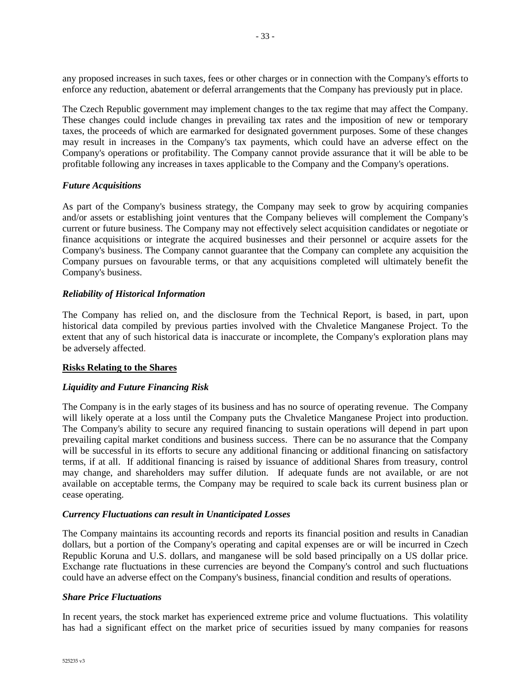any proposed increases in such taxes, fees or other charges or in connection with the Company's efforts to enforce any reduction, abatement or deferral arrangements that the Company has previously put in place.

The Czech Republic government may implement changes to the tax regime that may affect the Company. These changes could include changes in prevailing tax rates and the imposition of new or temporary taxes, the proceeds of which are earmarked for designated government purposes. Some of these changes may result in increases in the Company's tax payments, which could have an adverse effect on the Company's operations or profitability. The Company cannot provide assurance that it will be able to be profitable following any increases in taxes applicable to the Company and the Company's operations.

#### *Future Acquisitions*

As part of the Company's business strategy, the Company may seek to grow by acquiring companies and/or assets or establishing joint ventures that the Company believes will complement the Company's current or future business. The Company may not effectively select acquisition candidates or negotiate or finance acquisitions or integrate the acquired businesses and their personnel or acquire assets for the Company's business. The Company cannot guarantee that the Company can complete any acquisition the Company pursues on favourable terms, or that any acquisitions completed will ultimately benefit the Company's business.

#### *Reliability of Historical Information*

The Company has relied on, and the disclosure from the Technical Report, is based, in part, upon historical data compiled by previous parties involved with the Chvaletice Manganese Project. To the extent that any of such historical data is inaccurate or incomplete, the Company's exploration plans may be adversely affected.

#### **Risks Relating to the Shares**

## *Liquidity and Future Financing Risk*

The Company is in the early stages of its business and has no source of operating revenue. The Company will likely operate at a loss until the Company puts the Chvaletice Manganese Project into production. The Company's ability to secure any required financing to sustain operations will depend in part upon prevailing capital market conditions and business success. There can be no assurance that the Company will be successful in its efforts to secure any additional financing or additional financing on satisfactory terms, if at all. If additional financing is raised by issuance of additional Shares from treasury, control may change, and shareholders may suffer dilution. If adequate funds are not available, or are not available on acceptable terms, the Company may be required to scale back its current business plan or cease operating.

#### *Currency Fluctuations can result in Unanticipated Losses*

The Company maintains its accounting records and reports its financial position and results in Canadian dollars, but a portion of the Company's operating and capital expenses are or will be incurred in Czech Republic Koruna and U.S. dollars, and manganese will be sold based principally on a US dollar price. Exchange rate fluctuations in these currencies are beyond the Company's control and such fluctuations could have an adverse effect on the Company's business, financial condition and results of operations.

#### *Share Price Fluctuations*

In recent years, the stock market has experienced extreme price and volume fluctuations. This volatility has had a significant effect on the market price of securities issued by many companies for reasons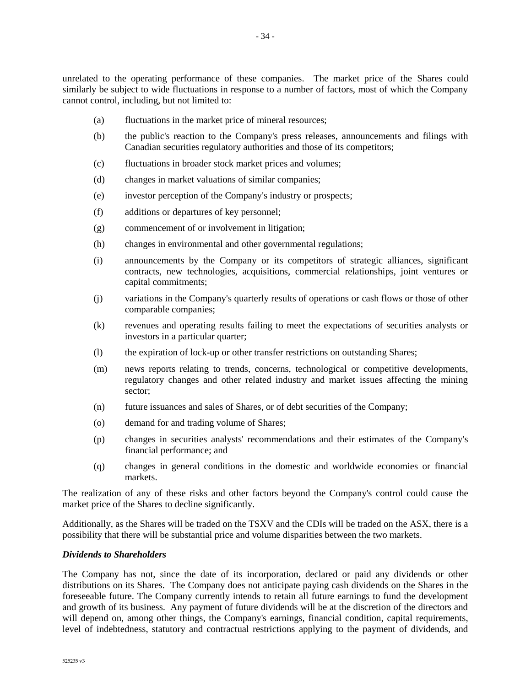unrelated to the operating performance of these companies. The market price of the Shares could similarly be subject to wide fluctuations in response to a number of factors, most of which the Company cannot control, including, but not limited to:

- (a) fluctuations in the market price of mineral resources;
- (b) the public's reaction to the Company's press releases, announcements and filings with Canadian securities regulatory authorities and those of its competitors;
- (c) fluctuations in broader stock market prices and volumes;
- (d) changes in market valuations of similar companies;
- (e) investor perception of the Company's industry or prospects;
- (f) additions or departures of key personnel;
- (g) commencement of or involvement in litigation;
- (h) changes in environmental and other governmental regulations;
- (i) announcements by the Company or its competitors of strategic alliances, significant contracts, new technologies, acquisitions, commercial relationships, joint ventures or capital commitments;
- (j) variations in the Company's quarterly results of operations or cash flows or those of other comparable companies;
- (k) revenues and operating results failing to meet the expectations of securities analysts or investors in a particular quarter;
- (l) the expiration of lock-up or other transfer restrictions on outstanding Shares;
- (m) news reports relating to trends, concerns, technological or competitive developments, regulatory changes and other related industry and market issues affecting the mining sector;
- (n) future issuances and sales of Shares, or of debt securities of the Company;
- (o) demand for and trading volume of Shares;
- (p) changes in securities analysts' recommendations and their estimates of the Company's financial performance; and
- (q) changes in general conditions in the domestic and worldwide economies or financial markets.

The realization of any of these risks and other factors beyond the Company's control could cause the market price of the Shares to decline significantly.

Additionally, as the Shares will be traded on the TSXV and the CDIs will be traded on the ASX, there is a possibility that there will be substantial price and volume disparities between the two markets.

#### *Dividends to Shareholders*

The Company has not, since the date of its incorporation, declared or paid any dividends or other distributions on its Shares. The Company does not anticipate paying cash dividends on the Shares in the foreseeable future. The Company currently intends to retain all future earnings to fund the development and growth of its business. Any payment of future dividends will be at the discretion of the directors and will depend on, among other things, the Company's earnings, financial condition, capital requirements, level of indebtedness, statutory and contractual restrictions applying to the payment of dividends, and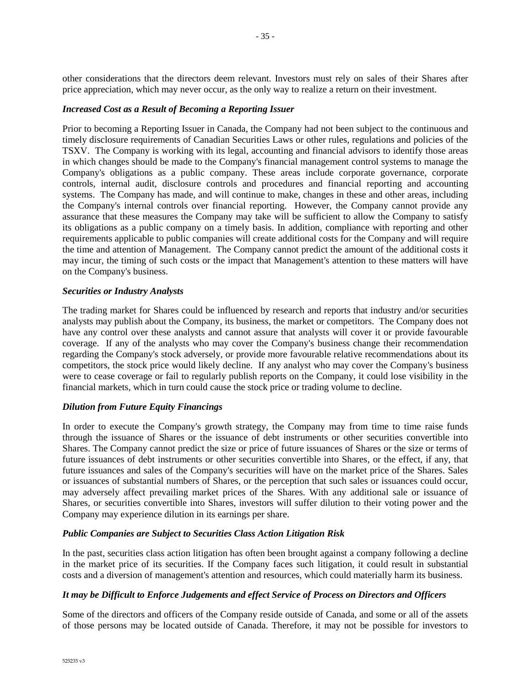other considerations that the directors deem relevant. Investors must rely on sales of their Shares after price appreciation, which may never occur, as the only way to realize a return on their investment.

#### *Increased Cost as a Result of Becoming a Reporting Issuer*

Prior to becoming a Reporting Issuer in Canada, the Company had not been subject to the continuous and timely disclosure requirements of Canadian Securities Laws or other rules, regulations and policies of the TSXV. The Company is working with its legal, accounting and financial advisors to identify those areas in which changes should be made to the Company's financial management control systems to manage the Company's obligations as a public company. These areas include corporate governance, corporate controls, internal audit, disclosure controls and procedures and financial reporting and accounting systems. The Company has made, and will continue to make, changes in these and other areas, including the Company's internal controls over financial reporting. However, the Company cannot provide any assurance that these measures the Company may take will be sufficient to allow the Company to satisfy its obligations as a public company on a timely basis. In addition, compliance with reporting and other requirements applicable to public companies will create additional costs for the Company and will require the time and attention of Management. The Company cannot predict the amount of the additional costs it may incur, the timing of such costs or the impact that Management's attention to these matters will have on the Company's business.

#### *Securities or Industry Analysts*

The trading market for Shares could be influenced by research and reports that industry and/or securities analysts may publish about the Company, its business, the market or competitors. The Company does not have any control over these analysts and cannot assure that analysts will cover it or provide favourable coverage. If any of the analysts who may cover the Company's business change their recommendation regarding the Company's stock adversely, or provide more favourable relative recommendations about its competitors, the stock price would likely decline. If any analyst who may cover the Company's business were to cease coverage or fail to regularly publish reports on the Company, it could lose visibility in the financial markets, which in turn could cause the stock price or trading volume to decline.

#### *Dilution from Future Equity Financings*

In order to execute the Company's growth strategy, the Company may from time to time raise funds through the issuance of Shares or the issuance of debt instruments or other securities convertible into Shares. The Company cannot predict the size or price of future issuances of Shares or the size or terms of future issuances of debt instruments or other securities convertible into Shares, or the effect, if any, that future issuances and sales of the Company's securities will have on the market price of the Shares. Sales or issuances of substantial numbers of Shares, or the perception that such sales or issuances could occur, may adversely affect prevailing market prices of the Shares. With any additional sale or issuance of Shares, or securities convertible into Shares, investors will suffer dilution to their voting power and the Company may experience dilution in its earnings per share.

## *Public Companies are Subject to Securities Class Action Litigation Risk*

In the past, securities class action litigation has often been brought against a company following a decline in the market price of its securities. If the Company faces such litigation, it could result in substantial costs and a diversion of management's attention and resources, which could materially harm its business.

## *It may be Difficult to Enforce Judgements and effect Service of Process on Directors and Officers*

Some of the directors and officers of the Company reside outside of Canada, and some or all of the assets of those persons may be located outside of Canada. Therefore, it may not be possible for investors to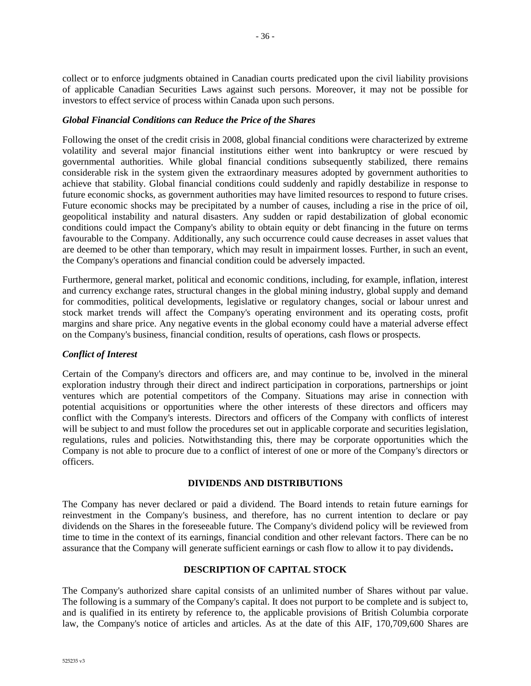collect or to enforce judgments obtained in Canadian courts predicated upon the civil liability provisions of applicable Canadian Securities Laws against such persons. Moreover, it may not be possible for investors to effect service of process within Canada upon such persons.

#### *Global Financial Conditions can Reduce the Price of the Shares*

Following the onset of the credit crisis in 2008, global financial conditions were characterized by extreme volatility and several major financial institutions either went into bankruptcy or were rescued by governmental authorities. While global financial conditions subsequently stabilized, there remains considerable risk in the system given the extraordinary measures adopted by government authorities to achieve that stability. Global financial conditions could suddenly and rapidly destabilize in response to future economic shocks, as government authorities may have limited resources to respond to future crises. Future economic shocks may be precipitated by a number of causes, including a rise in the price of oil, geopolitical instability and natural disasters. Any sudden or rapid destabilization of global economic conditions could impact the Company's ability to obtain equity or debt financing in the future on terms favourable to the Company. Additionally, any such occurrence could cause decreases in asset values that are deemed to be other than temporary, which may result in impairment losses. Further, in such an event, the Company's operations and financial condition could be adversely impacted.

Furthermore, general market, political and economic conditions, including, for example, inflation, interest and currency exchange rates, structural changes in the global mining industry, global supply and demand for commodities, political developments, legislative or regulatory changes, social or labour unrest and stock market trends will affect the Company's operating environment and its operating costs, profit margins and share price. Any negative events in the global economy could have a material adverse effect on the Company's business, financial condition, results of operations, cash flows or prospects.

## *Conflict of Interest*

Certain of the Company's directors and officers are, and may continue to be, involved in the mineral exploration industry through their direct and indirect participation in corporations, partnerships or joint ventures which are potential competitors of the Company. Situations may arise in connection with potential acquisitions or opportunities where the other interests of these directors and officers may conflict with the Company's interests. Directors and officers of the Company with conflicts of interest will be subject to and must follow the procedures set out in applicable corporate and securities legislation, regulations, rules and policies. Notwithstanding this, there may be corporate opportunities which the Company is not able to procure due to a conflict of interest of one or more of the Company's directors or officers.

#### **DIVIDENDS AND DISTRIBUTIONS**

The Company has never declared or paid a dividend. The Board intends to retain future earnings for reinvestment in the Company's business, and therefore, has no current intention to declare or pay dividends on the Shares in the foreseeable future. The Company's dividend policy will be reviewed from time to time in the context of its earnings, financial condition and other relevant factors. There can be no assurance that the Company will generate sufficient earnings or cash flow to allow it to pay dividends**.**

## **DESCRIPTION OF CAPITAL STOCK**

The Company's authorized share capital consists of an unlimited number of Shares without par value. The following is a summary of the Company's capital. It does not purport to be complete and is subject to, and is qualified in its entirety by reference to, the applicable provisions of British Columbia corporate law, the Company's notice of articles and articles. As at the date of this AIF, 170,709,600 Shares are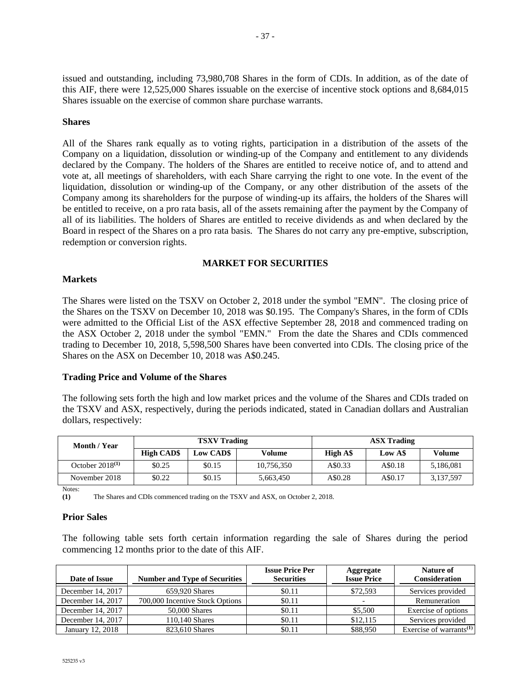issued and outstanding, including 73,980,708 Shares in the form of CDIs. In addition, as of the date of this AIF, there were 12,525,000 Shares issuable on the exercise of incentive stock options and 8,684,015 Shares issuable on the exercise of common share purchase warrants.

#### **Shares**

All of the Shares rank equally as to voting rights, participation in a distribution of the assets of the Company on a liquidation, dissolution or winding-up of the Company and entitlement to any dividends declared by the Company. The holders of the Shares are entitled to receive notice of, and to attend and vote at, all meetings of shareholders, with each Share carrying the right to one vote. In the event of the liquidation, dissolution or winding-up of the Company, or any other distribution of the assets of the Company among its shareholders for the purpose of winding-up its affairs, the holders of the Shares will be entitled to receive, on a pro rata basis, all of the assets remaining after the payment by the Company of all of its liabilities. The holders of Shares are entitled to receive dividends as and when declared by the Board in respect of the Shares on a pro rata basis. The Shares do not carry any pre-emptive, subscription, redemption or conversion rights.

#### **MARKET FOR SECURITIES**

#### **Markets**

The Shares were listed on the TSXV on October 2, 2018 under the symbol "EMN". The closing price of the Shares on the TSXV on December 10, 2018 was \$0.195. The Company's Shares, in the form of CDIs were admitted to the Official List of the ASX effective September 28, 2018 and commenced trading on the ASX October 2, 2018 under the symbol "EMN." From the date the Shares and CDIs commenced trading to December 10, 2018, 5,598,500 Shares have been converted into CDIs. The closing price of the Shares on the ASX on December 10, 2018 was A\$0.245.

#### **Trading Price and Volume of the Shares**

The following sets forth the high and low market prices and the volume of the Shares and CDIs traded on the TSXV and ASX, respectively, during the periods indicated, stated in Canadian dollars and Australian dollars, respectively:

| Month / Year         | <b>TSXV</b> Trading |                  |            | <b>ASX Trading</b> |         |           |
|----------------------|---------------------|------------------|------------|--------------------|---------|-----------|
|                      | <b>High CAD\$</b>   | <b>Low CAD\$</b> | Volume     | High A\$           | Low A\$ | Volume    |
| October $2018^{(1)}$ | \$0.25              | \$0.15           | 10,756,350 | A\$0.33            | A\$0.18 | 5,186,081 |
| November 2018        | \$0.22              | \$0.15           | 5,663,450  | A\$0.28            | A\$0.17 | 3,137,597 |

Notes:

**(1)** The Shares and CDIs commenced trading on the TSXV and ASX, on October 2, 2018.

#### **Prior Sales**

The following table sets forth certain information regarding the sale of Shares during the period commencing 12 months prior to the date of this AIF.

| Date of Issue       | <b>Number and Type of Securities</b> | <b>Issue Price Per</b><br><b>Securities</b> | Aggregate<br><b>Issue Price</b> | Nature of<br><b>Consideration</b>   |
|---------------------|--------------------------------------|---------------------------------------------|---------------------------------|-------------------------------------|
| December 14, 2017   | 659,920 Shares                       | \$0.11                                      | \$72.593                        | Services provided                   |
| December 14, 2017   | 700,000 Incentive Stock Options      | \$0.11                                      |                                 | Remuneration                        |
| December 14, 2017   | 50,000 Shares                        | \$0.11                                      | \$5,500                         | Exercise of options                 |
| December $14, 2017$ | 110.140 Shares                       | \$0.11                                      | \$12,115                        | Services provided                   |
| January 12, 2018    | 823.610 Shares                       | \$0.11                                      | \$88,950                        | Exercise of warrants <sup>(1)</sup> |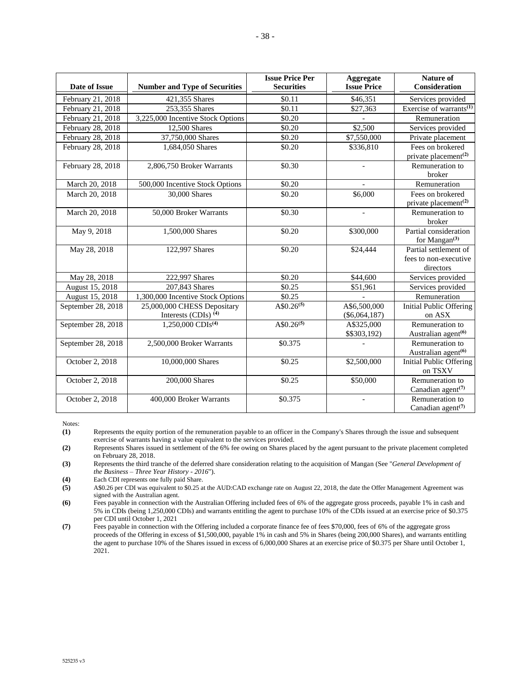| Date of Issue      | <b>Number and Type of Securities</b>                     | <b>Issue Price Per</b><br><b>Securities</b> | Aggregate<br><b>Issue Price</b> | Nature of<br>Consideration                                    |
|--------------------|----------------------------------------------------------|---------------------------------------------|---------------------------------|---------------------------------------------------------------|
| February 21, 2018  | 421,355 Shares                                           | \$0.11                                      | \$46,351                        | Services provided                                             |
| February 21, 2018  | 253,355 Shares                                           | \$0.11                                      | \$27,363                        | Exercise of warrants <sup>(1)</sup>                           |
| February 21, 2018  | 3,225,000 Incentive Stock Options                        | \$0.20                                      |                                 | Remuneration                                                  |
| February 28, 2018  | 12,500 Shares                                            | \$0.20                                      | \$2,500                         | Services provided                                             |
| February 28, 2018  | 37,750,000 Shares                                        | \$0.20                                      | \$7,550,000                     | Private placement                                             |
| February 28, 2018  | 1,684,050 Shares                                         | \$0.20                                      | \$336,810                       | Fees on brokered                                              |
| February 28, 2018  | 2,806,750 Broker Warrants                                | \$0.30                                      |                                 | private placement <sup>(2)</sup><br>Remuneration to<br>broker |
| March 20, 2018     | 500,000 Incentive Stock Options                          | \$0.20                                      |                                 | Remuneration                                                  |
| March 20, 2018     | 30,000 Shares                                            | \$0.20                                      | \$6,000                         | Fees on brokered<br>private placement <sup>(2)</sup>          |
| March 20, 2018     | 50,000 Broker Warrants                                   | \$0.30                                      |                                 | Remuneration to<br>broker                                     |
| May 9, 2018        | 1,500,000 Shares                                         | \$0.20                                      | \$300,000                       | Partial consideration<br>for Mangan $(3)$                     |
| May 28, 2018       | 122,997 Shares                                           | \$0.20                                      | \$24,444                        | Partial settlement of<br>fees to non-executive<br>directors   |
| May 28, 2018       | 222,997 Shares                                           | \$0.20                                      | \$44,600                        | Services provided                                             |
| August 15, 2018    | 207,843 Shares                                           | \$0.25                                      | \$51,961                        | Services provided                                             |
| August 15, 2018    | 1,300,000 Incentive Stock Options                        | \$0.25                                      |                                 | Remuneration                                                  |
| September 28, 2018 | 25,000,000 CHESS Depositary<br>Interests (CDIs) $^{(4)}$ | $A$0.26^{(5)}$                              | A\$6,500,000<br>$(\$6,064,187)$ | <b>Initial Public Offering</b><br>on ASX                      |
| September 28, 2018 | $1,250,000$ CDIs <sup>(4)</sup>                          | $A\sqrt[5]{30.26^{(5)}}$                    | A\$325,000<br>\$\$303,192)      | Remuneration to<br>Australian agent <sup>(6)</sup>            |
| September 28, 2018 | 2,500,000 Broker Warrants                                | \$0.375                                     |                                 | Remuneration to<br>Australian agent <sup>(6)</sup>            |
| October 2, 2018    | 10,000,000 Shares                                        | \$0.25                                      | \$2,500,000                     | <b>Initial Public Offering</b><br>on TSXV                     |
| October 2, 2018    | 200,000 Shares                                           | \$0.25                                      | \$50,000                        | Remuneration to<br>Canadian agent <sup>(7)</sup>              |
| October 2, 2018    | 400,000 Broker Warrants                                  | \$0.375                                     |                                 | Remuneration to<br>Canadian agent <sup>(7)</sup>              |

Notes:

**(1)** Represents the equity portion of the remuneration payable to an officer in the Company's Shares through the issue and subsequent exercise of warrants having a value equivalent to the services provided.

**(2)** Represents Shares issued in settlement of the 6% fee owing on Shares placed by the agent pursuant to the private placement completed on February 28, 2018.

**(3)** Represents the third tranche of the deferred share consideration relating to the acquisition of Mangan (See "*General Development of the Business – Three Year History - 2016*").

(4) Each CDI represents one fully paid Share.<br> **(5)** A\$0.26 per CDI was equivalent to \$0.25 at

**(5)** A\$0.26 per CDI was equivalent to \$0.25 at the AUD:CAD exchange rate on August 22, 2018, the date the Offer Management Agreement was signed with the Australian agent.

**(6)** Fees payable in connection with the Australian Offering included fees of 6% of the aggregate gross proceeds, payable 1% in cash and 5% in CDIs (being 1,250,000 CDIs) and warrants entitling the agent to purchase 10% of the CDIs issued at an exercise price of \$0.375 per CDI until October 1, 2021

**(7)** Fees payable in connection with the Offering included a corporate finance fee of fees \$70,000, fees of 6% of the aggregate gross proceeds of the Offering in excess of \$1,500,000, payable 1% in cash and 5% in Shares (being 200,000 Shares), and warrants entitling the agent to purchase 10% of the Shares issued in excess of 6,000,000 Shares at an exercise price of \$0.375 per Share until October 1, 2021.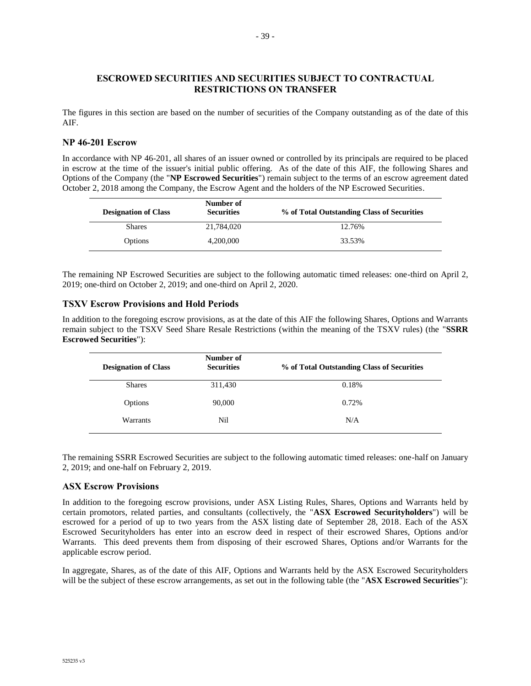### **ESCROWED SECURITIES AND SECURITIES SUBJECT TO CONTRACTUAL RESTRICTIONS ON TRANSFER**

The figures in this section are based on the number of securities of the Company outstanding as of the date of this AIF.

## **NP 46-201 Escrow**

In accordance with NP 46-201, all shares of an issuer owned or controlled by its principals are required to be placed in escrow at the time of the issuer's initial public offering. As of the date of this AIF, the following Shares and Options of the Company (the "**NP Escrowed Securities**") remain subject to the terms of an escrow agreement dated October 2, 2018 among the Company, the Escrow Agent and the holders of the NP Escrowed Securities.

| <b>Designation of Class</b> | Number of<br><b>Securities</b> | % of Total Outstanding Class of Securities |
|-----------------------------|--------------------------------|--------------------------------------------|
| <b>Shares</b>               | 21,784,020                     | 12.76%                                     |
| Options                     | 4,200,000                      | 33.53%                                     |

The remaining NP Escrowed Securities are subject to the following automatic timed releases: one-third on April 2, 2019; one-third on October 2, 2019; and one-third on April 2, 2020.

#### **TSXV Escrow Provisions and Hold Periods**

In addition to the foregoing escrow provisions, as at the date of this AIF the following Shares, Options and Warrants remain subject to the TSXV Seed Share Resale Restrictions (within the meaning of the TSXV rules) (the "**SSRR Escrowed Securities**"):

| <b>Designation of Class</b> | Number of<br><b>Securities</b> | % of Total Outstanding Class of Securities |
|-----------------------------|--------------------------------|--------------------------------------------|
| <b>Shares</b>               | 311,430                        | 0.18%                                      |
| Options                     | 90,000                         | 0.72%                                      |
| Warrants                    | Nil                            | N/A                                        |

The remaining SSRR Escrowed Securities are subject to the following automatic timed releases: one-half on January 2, 2019; and one-half on February 2, 2019.

#### **ASX Escrow Provisions**

In addition to the foregoing escrow provisions, under ASX Listing Rules, Shares, Options and Warrants held by certain promotors, related parties, and consultants (collectively, the "**ASX Escrowed Securityholders**") will be escrowed for a period of up to two years from the ASX listing date of September 28, 2018. Each of the ASX Escrowed Securityholders has enter into an escrow deed in respect of their escrowed Shares, Options and/or Warrants. This deed prevents them from disposing of their escrowed Shares, Options and/or Warrants for the applicable escrow period.

In aggregate, Shares, as of the date of this AIF, Options and Warrants held by the ASX Escrowed Securityholders will be the subject of these escrow arrangements, as set out in the following table (the "**ASX Escrowed Securities**"):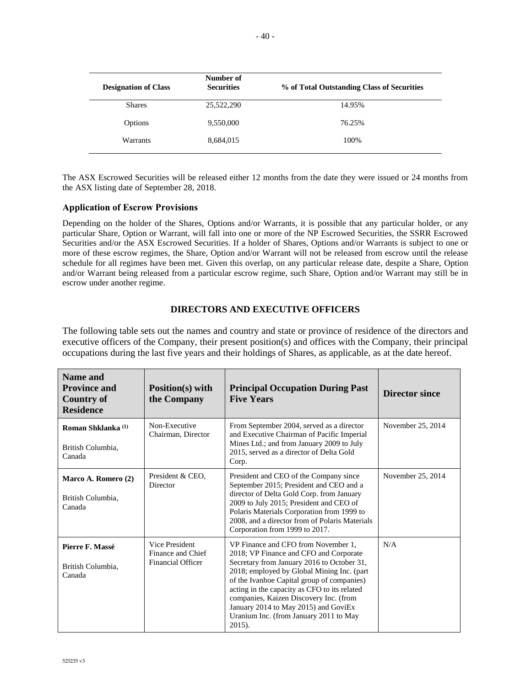| <b>Designation of Class</b> | Number of<br><b>Securities</b> | % of Total Outstanding Class of Securities |
|-----------------------------|--------------------------------|--------------------------------------------|
| <b>Shares</b>               | 25,522,290                     | 14.95%                                     |
| Options                     | 9,550,000                      | 76.25%                                     |
| <b>Warrants</b>             | 8,684,015                      | 100%                                       |

The ASX Escrowed Securities will be released either 12 months from the date they were issued or 24 months from the ASX listing date of September 28, 2018.

#### **Application of Escrow Provisions**

Depending on the holder of the Shares, Options and/or Warrants, it is possible that any particular holder, or any particular Share, Option or Warrant, will fall into one or more of the NP Escrowed Securities, the SSRR Escrowed Securities and/or the ASX Escrowed Securities. If a holder of Shares, Options and/or Warrants is subject to one or more of these escrow regimes, the Share, Option and/or Warrant will not be released from escrow until the release schedule for all regimes have been met. Given this overlap, on any particular release date, despite a Share, Option and/or Warrant being released from a particular escrow regime, such Share, Option and/or Warrant may still be in escrow under another regime.

## **DIRECTORS AND EXECUTIVE OFFICERS**

The following table sets out the names and country and state or province of residence of the directors and executive officers of the Company, their present position(s) and offices with the Company, their principal occupations during the last five years and their holdings of Shares, as applicable, as at the date hereof.

| Name and<br><b>Province and</b><br><b>Country of</b><br><b>Residence</b> | Position(s) with<br>the Company                                 | <b>Principal Occupation During Past</b><br><b>Five Years</b>                                                                                                                                                                                                                                                                                                                                                  | <b>Director since</b> |
|--------------------------------------------------------------------------|-----------------------------------------------------------------|---------------------------------------------------------------------------------------------------------------------------------------------------------------------------------------------------------------------------------------------------------------------------------------------------------------------------------------------------------------------------------------------------------------|-----------------------|
| Roman Shklanka <sup>(1)</sup><br>British Columbia,<br>Canada             | Non-Executive<br>Chairman, Director                             | From September 2004, served as a director<br>and Executive Chairman of Pacific Imperial<br>Mines Ltd.; and from January 2009 to July<br>2015, served as a director of Delta Gold<br>Corp.                                                                                                                                                                                                                     | November 25, 2014     |
| Marco A. Romero (2)<br>British Columbia.<br>Canada                       | President & CEO,<br>Director                                    | President and CEO of the Company since<br>September 2015; President and CEO and a<br>director of Delta Gold Corp. from January<br>2009 to July 2015; President and CEO of<br>Polaris Materials Corporation from 1999 to<br>2008, and a director from of Polaris Materials<br>Corporation from 1999 to 2017.                                                                                                   | November 25, 2014     |
| Pierre F. Massé<br>British Columbia,<br>Canada                           | Vice President<br>Finance and Chief<br><b>Financial Officer</b> | VP Finance and CFO from November 1.<br>2018; VP Finance and CFO and Corporate<br>Secretary from January 2016 to October 31,<br>2018; employed by Global Mining Inc. (part<br>of the Ivanhoe Capital group of companies)<br>acting in the capacity as CFO to its related<br>companies, Kaizen Discovery Inc. (from<br>January 2014 to May 2015) and GoviEx<br>Uranium Inc. (from January 2011 to May<br>2015). | N/A                   |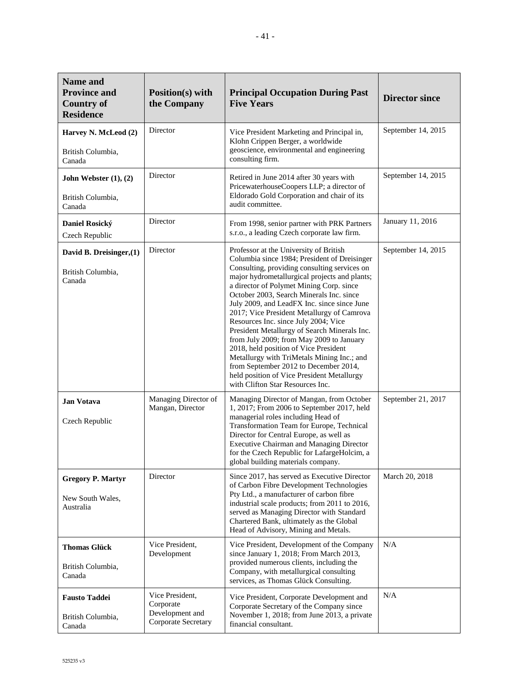| <b>Name and</b><br><b>Province and</b><br><b>Country of</b><br><b>Residence</b> | Position(s) with<br>the Company                                        | <b>Principal Occupation During Past</b><br><b>Five Years</b>                                                                                                                                                                                                                                                                                                                                                                                                                                                                                                                                                                                                                                                                       | <b>Director since</b> |
|---------------------------------------------------------------------------------|------------------------------------------------------------------------|------------------------------------------------------------------------------------------------------------------------------------------------------------------------------------------------------------------------------------------------------------------------------------------------------------------------------------------------------------------------------------------------------------------------------------------------------------------------------------------------------------------------------------------------------------------------------------------------------------------------------------------------------------------------------------------------------------------------------------|-----------------------|
| Harvey N. McLeod (2)<br>British Columbia,<br>Canada                             | Director                                                               | Vice President Marketing and Principal in,<br>Klohn Crippen Berger, a worldwide<br>geoscience, environmental and engineering<br>consulting firm.                                                                                                                                                                                                                                                                                                                                                                                                                                                                                                                                                                                   | September 14, 2015    |
| John Webster $(1), (2)$<br>British Columbia,<br>Canada                          | Director                                                               | Retired in June 2014 after 30 years with<br>PricewaterhouseCoopers LLP; a director of<br>Eldorado Gold Corporation and chair of its<br>audit committee.                                                                                                                                                                                                                                                                                                                                                                                                                                                                                                                                                                            | September 14, 2015    |
| Daniel Rosický<br>Czech Republic                                                | Director                                                               | From 1998, senior partner with PRK Partners<br>s.r.o., a leading Czech corporate law firm.                                                                                                                                                                                                                                                                                                                                                                                                                                                                                                                                                                                                                                         | January 11, 2016      |
| David B. Dreisinger, (1)<br>British Columbia,<br>Canada                         | Director                                                               | Professor at the University of British<br>Columbia since 1984; President of Dreisinger<br>Consulting, providing consulting services on<br>major hydrometallurgical projects and plants;<br>a director of Polymet Mining Corp. since<br>October 2003, Search Minerals Inc. since<br>July 2009, and LeadFX Inc. since since June<br>2017; Vice President Metallurgy of Camrova<br>Resources Inc. since July 2004; Vice<br>President Metallurgy of Search Minerals Inc.<br>from July 2009; from May 2009 to January<br>2018, held position of Vice President<br>Metallurgy with TriMetals Mining Inc.; and<br>from September 2012 to December 2014,<br>held position of Vice President Metallurgy<br>with Clifton Star Resources Inc. | September 14, 2015    |
| <b>Jan Votava</b><br>Czech Republic                                             | Managing Director of<br>Mangan, Director                               | Managing Director of Mangan, from October<br>1, 2017; From 2006 to September 2017, held<br>managerial roles including Head of<br>Transformation Team for Europe, Technical<br>Director for Central Europe, as well as<br><b>Executive Chairman and Managing Director</b><br>for the Czech Republic for LafargeHolcim, a<br>global building materials company.                                                                                                                                                                                                                                                                                                                                                                      | September 21, 2017    |
| <b>Gregory P. Martyr</b><br>New South Wales,<br>Australia                       | Director                                                               | Since 2017, has served as Executive Director<br>of Carbon Fibre Development Technologies<br>Pty Ltd., a manufacturer of carbon fibre<br>industrial scale products; from 2011 to 2016,<br>served as Managing Director with Standard<br>Chartered Bank, ultimately as the Global<br>Head of Advisory, Mining and Metals.                                                                                                                                                                                                                                                                                                                                                                                                             | March 20, 2018        |
| <b>Thomas Glück</b><br>British Columbia,<br>Canada                              | Vice President,<br>Development                                         | Vice President, Development of the Company<br>since January 1, 2018; From March 2013,<br>provided numerous clients, including the<br>Company, with metallurgical consulting<br>services, as Thomas Glück Consulting.                                                                                                                                                                                                                                                                                                                                                                                                                                                                                                               | N/A                   |
| <b>Fausto Taddei</b><br>British Columbia,<br>Canada                             | Vice President,<br>Corporate<br>Development and<br>Corporate Secretary | Vice President, Corporate Development and<br>Corporate Secretary of the Company since<br>November 1, 2018; from June 2013, a private<br>financial consultant.                                                                                                                                                                                                                                                                                                                                                                                                                                                                                                                                                                      | N/A                   |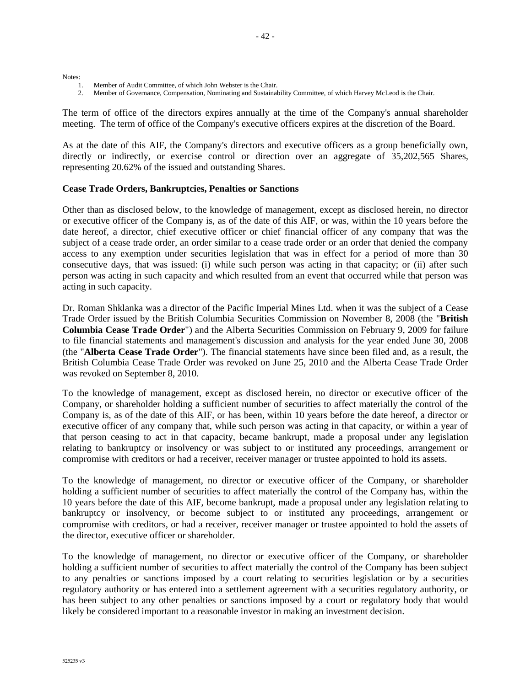Notes:

- 1. Member of Audit Committee, of which John Webster is the Chair.
- 2. Member of Governance, Compensation, Nominating and Sustainability Committee, of which Harvey McLeod is the Chair.

The term of office of the directors expires annually at the time of the Company's annual shareholder meeting. The term of office of the Company's executive officers expires at the discretion of the Board.

As at the date of this AIF, the Company's directors and executive officers as a group beneficially own, directly or indirectly, or exercise control or direction over an aggregate of 35,202,565 Shares, representing 20.62% of the issued and outstanding Shares.

#### **Cease Trade Orders, Bankruptcies, Penalties or Sanctions**

Other than as disclosed below, to the knowledge of management, except as disclosed herein, no director or executive officer of the Company is, as of the date of this AIF, or was, within the 10 years before the date hereof, a director, chief executive officer or chief financial officer of any company that was the subject of a cease trade order, an order similar to a cease trade order or an order that denied the company access to any exemption under securities legislation that was in effect for a period of more than 30 consecutive days, that was issued: (i) while such person was acting in that capacity; or (ii) after such person was acting in such capacity and which resulted from an event that occurred while that person was acting in such capacity.

Dr. Roman Shklanka was a director of the Pacific Imperial Mines Ltd. when it was the subject of a Cease Trade Order issued by the British Columbia Securities Commission on November 8, 2008 (the "**British Columbia Cease Trade Order**") and the Alberta Securities Commission on February 9, 2009 for failure to file financial statements and management's discussion and analysis for the year ended June 30, 2008 (the "**Alberta Cease Trade Order**"). The financial statements have since been filed and, as a result, the British Columbia Cease Trade Order was revoked on June 25, 2010 and the Alberta Cease Trade Order was revoked on September 8, 2010.

To the knowledge of management, except as disclosed herein, no director or executive officer of the Company, or shareholder holding a sufficient number of securities to affect materially the control of the Company is, as of the date of this AIF, or has been, within 10 years before the date hereof, a director or executive officer of any company that, while such person was acting in that capacity, or within a year of that person ceasing to act in that capacity, became bankrupt, made a proposal under any legislation relating to bankruptcy or insolvency or was subject to or instituted any proceedings, arrangement or compromise with creditors or had a receiver, receiver manager or trustee appointed to hold its assets.

To the knowledge of management, no director or executive officer of the Company, or shareholder holding a sufficient number of securities to affect materially the control of the Company has, within the 10 years before the date of this AIF, become bankrupt, made a proposal under any legislation relating to bankruptcy or insolvency, or become subject to or instituted any proceedings, arrangement or compromise with creditors, or had a receiver, receiver manager or trustee appointed to hold the assets of the director, executive officer or shareholder.

To the knowledge of management, no director or executive officer of the Company, or shareholder holding a sufficient number of securities to affect materially the control of the Company has been subject to any penalties or sanctions imposed by a court relating to securities legislation or by a securities regulatory authority or has entered into a settlement agreement with a securities regulatory authority, or has been subject to any other penalties or sanctions imposed by a court or regulatory body that would likely be considered important to a reasonable investor in making an investment decision.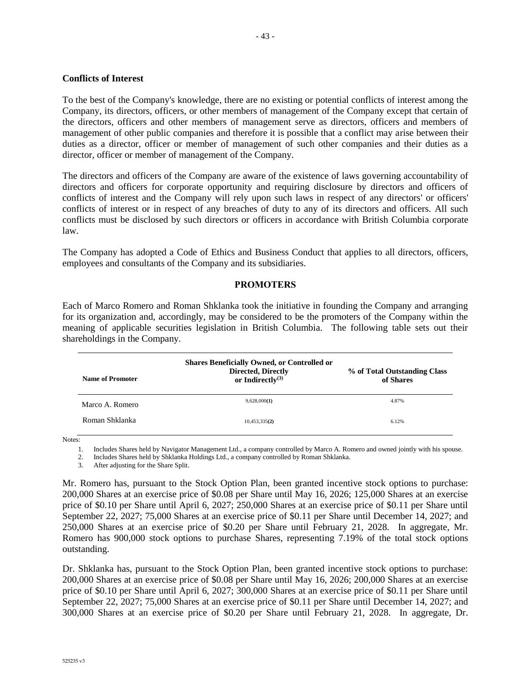#### **Conflicts of Interest**

To the best of the Company's knowledge, there are no existing or potential conflicts of interest among the Company, its directors, officers, or other members of management of the Company except that certain of the directors, officers and other members of management serve as directors, officers and members of management of other public companies and therefore it is possible that a conflict may arise between their duties as a director, officer or member of management of such other companies and their duties as a director, officer or member of management of the Company.

The directors and officers of the Company are aware of the existence of laws governing accountability of directors and officers for corporate opportunity and requiring disclosure by directors and officers of conflicts of interest and the Company will rely upon such laws in respect of any directors' or officers' conflicts of interest or in respect of any breaches of duty to any of its directors and officers. All such conflicts must be disclosed by such directors or officers in accordance with British Columbia corporate law.

The Company has adopted a Code of Ethics and Business Conduct that applies to all directors, officers, employees and consultants of the Company and its subsidiaries.

#### **PROMOTERS**

Each of Marco Romero and Roman Shklanka took the initiative in founding the Company and arranging for its organization and, accordingly, may be considered to be the promoters of the Company within the meaning of applicable securities legislation in British Columbia. The following table sets out their shareholdings in the Company.

| Name of Promoter | <b>Shares Beneficially Owned, or Controlled or</b><br><b>Directed, Directly</b><br>or Indirectly $(3)$ | % of Total Outstanding Class<br>of Shares |
|------------------|--------------------------------------------------------------------------------------------------------|-------------------------------------------|
| Marco A. Romero  | 9,628,000(1)                                                                                           | 4.87%                                     |
| Roman Shklanka   | 10,453,335(2)                                                                                          | 6.12%                                     |

Notes:

1. Includes Shares held by Navigator Management Ltd., a company controlled by Marco A. Romero and owned jointly with his spouse.

2. Includes Shares held by Shklanka Holdings Ltd., a company controlled by Roman Shklanka.

3. After adjusting for the Share Split.

Mr. Romero has, pursuant to the Stock Option Plan, been granted incentive stock options to purchase: 200,000 Shares at an exercise price of \$0.08 per Share until May 16, 2026; 125,000 Shares at an exercise price of \$0.10 per Share until April 6, 2027; 250,000 Shares at an exercise price of \$0.11 per Share until September 22, 2027; 75,000 Shares at an exercise price of \$0.11 per Share until December 14, 2027; and 250,000 Shares at an exercise price of \$0.20 per Share until February 21, 2028. In aggregate, Mr. Romero has 900,000 stock options to purchase Shares, representing 7.19% of the total stock options outstanding.

Dr. Shklanka has, pursuant to the Stock Option Plan, been granted incentive stock options to purchase: 200,000 Shares at an exercise price of \$0.08 per Share until May 16, 2026; 200,000 Shares at an exercise price of \$0.10 per Share until April 6, 2027; 300,000 Shares at an exercise price of \$0.11 per Share until September 22, 2027; 75,000 Shares at an exercise price of \$0.11 per Share until December 14, 2027; and 300,000 Shares at an exercise price of \$0.20 per Share until February 21, 2028. In aggregate, Dr.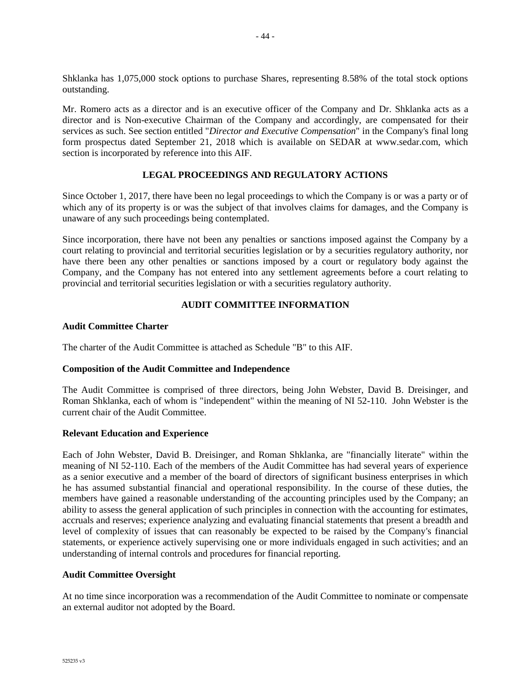Shklanka has 1,075,000 stock options to purchase Shares, representing 8.58% of the total stock options outstanding.

Mr. Romero acts as a director and is an executive officer of the Company and Dr. Shklanka acts as a director and is Non-executive Chairman of the Company and accordingly, are compensated for their services as such. See section entitled "*Director and Executive Compensation*" in the Company's final long form prospectus dated September 21, 2018 which is available on SEDAR at www.sedar.com, which section is incorporated by reference into this AIF.

## **LEGAL PROCEEDINGS AND REGULATORY ACTIONS**

Since October 1, 2017, there have been no legal proceedings to which the Company is or was a party or of which any of its property is or was the subject of that involves claims for damages, and the Company is unaware of any such proceedings being contemplated.

Since incorporation, there have not been any penalties or sanctions imposed against the Company by a court relating to provincial and territorial securities legislation or by a securities regulatory authority, nor have there been any other penalties or sanctions imposed by a court or regulatory body against the Company, and the Company has not entered into any settlement agreements before a court relating to provincial and territorial securities legislation or with a securities regulatory authority.

## **AUDIT COMMITTEE INFORMATION**

#### **Audit Committee Charter**

The charter of the Audit Committee is attached as Schedule "B" to this AIF.

## **Composition of the Audit Committee and Independence**

The Audit Committee is comprised of three directors, being John Webster, David B. Dreisinger, and Roman Shklanka, each of whom is "independent" within the meaning of NI 52-110. John Webster is the current chair of the Audit Committee.

#### **Relevant Education and Experience**

Each of John Webster, David B. Dreisinger, and Roman Shklanka, are "financially literate" within the meaning of NI 52-110. Each of the members of the Audit Committee has had several years of experience as a senior executive and a member of the board of directors of significant business enterprises in which he has assumed substantial financial and operational responsibility. In the course of these duties, the members have gained a reasonable understanding of the accounting principles used by the Company; an ability to assess the general application of such principles in connection with the accounting for estimates, accruals and reserves; experience analyzing and evaluating financial statements that present a breadth and level of complexity of issues that can reasonably be expected to be raised by the Company's financial statements, or experience actively supervising one or more individuals engaged in such activities; and an understanding of internal controls and procedures for financial reporting.

#### **Audit Committee Oversight**

At no time since incorporation was a recommendation of the Audit Committee to nominate or compensate an external auditor not adopted by the Board.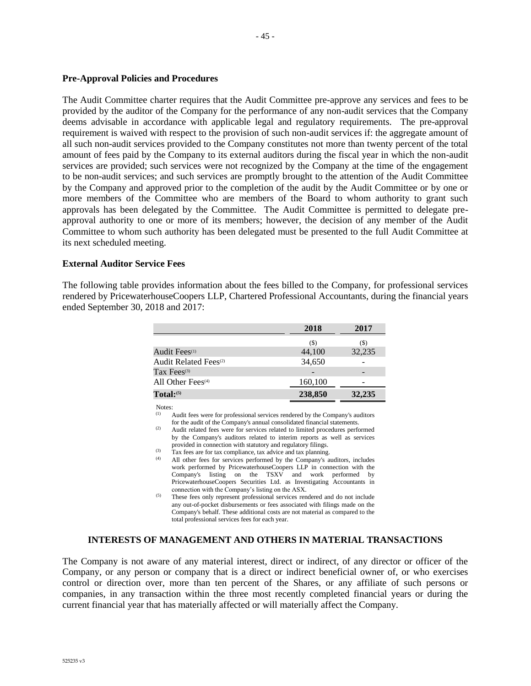#### **Pre-Approval Policies and Procedures**

The Audit Committee charter requires that the Audit Committee pre-approve any services and fees to be provided by the auditor of the Company for the performance of any non-audit services that the Company deems advisable in accordance with applicable legal and regulatory requirements. The pre-approval requirement is waived with respect to the provision of such non-audit services if: the aggregate amount of all such non-audit services provided to the Company constitutes not more than twenty percent of the total amount of fees paid by the Company to its external auditors during the fiscal year in which the non-audit services are provided; such services were not recognized by the Company at the time of the engagement to be non-audit services; and such services are promptly brought to the attention of the Audit Committee by the Company and approved prior to the completion of the audit by the Audit Committee or by one or more members of the Committee who are members of the Board to whom authority to grant such approvals has been delegated by the Committee. The Audit Committee is permitted to delegate preapproval authority to one or more of its members; however, the decision of any member of the Audit Committee to whom such authority has been delegated must be presented to the full Audit Committee at its next scheduled meeting.

#### **External Auditor Service Fees**

The following table provides information about the fees billed to the Company, for professional services rendered by PricewaterhouseCoopers LLP, Chartered Professional Accountants, during the financial years ended September 30, 2018 and 2017:

|                                   | 2018    | 2017   |
|-----------------------------------|---------|--------|
|                                   | (S)     | (S)    |
| Audit Fees <sup>(1)</sup>         | 44,100  | 32,235 |
| Audit Related Fees <sup>(2)</sup> | 34,650  |        |
| Tax Fees $(3)$                    |         |        |
| All Other Fees $(4)$              | 160,100 |        |
| Total:                            | 238,850 | 32,235 |

Notes:

Audit fees were for professional services rendered by the Company's auditors

for the audit of the Company's annual consolidated financial statements. (2) Audit related fees were for services related to limited procedures performed by the Company's auditors related to interim reports as well as services provided in connection with statutory and regulatory filings.

(3) Tax fees are for tax compliance, tax advice and tax planning.

- (4) All other fees for services performed by the Company's auditors, includes work performed by PricewaterhouseCoopers LLP in connection with the Company's listing on the TSXV and work performed by PricewaterhouseCoopers Securities Ltd. as Investigating Accountants in connection with the Company's listing on the ASX.
- $^{(5)}$  These fees only represent professional services rendered and do not include any out-of-pocket disbursements or fees associated with filings made on the Company's behalf. These additional costs are not material as compared to the total professional services fees for each year.

#### **INTERESTS OF MANAGEMENT AND OTHERS IN MATERIAL TRANSACTIONS**

The Company is not aware of any material interest, direct or indirect, of any director or officer of the Company, or any person or company that is a direct or indirect beneficial owner of, or who exercises control or direction over, more than ten percent of the Shares, or any affiliate of such persons or companies, in any transaction within the three most recently completed financial years or during the current financial year that has materially affected or will materially affect the Company.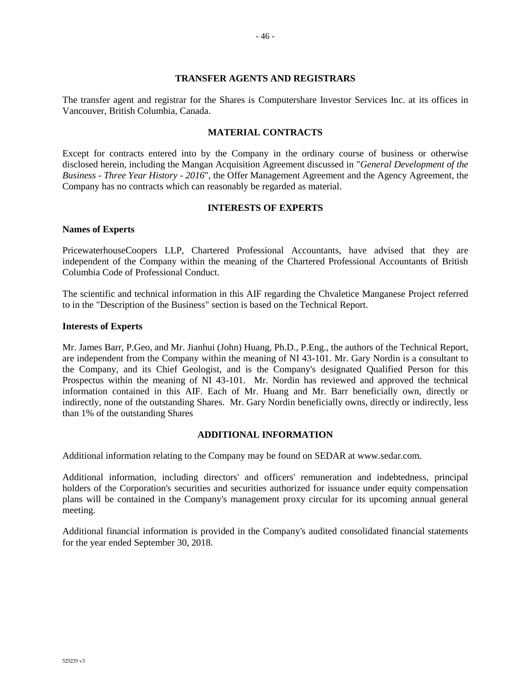#### **TRANSFER AGENTS AND REGISTRARS**

The transfer agent and registrar for the Shares is Computershare Investor Services Inc. at its offices in Vancouver, British Columbia, Canada.

#### **MATERIAL CONTRACTS**

Except for contracts entered into by the Company in the ordinary course of business or otherwise disclosed herein, including the Mangan Acquisition Agreement discussed in "*General Development of the Business - Three Year History - 2016*", the Offer Management Agreement and the Agency Agreement, the Company has no contracts which can reasonably be regarded as material.

#### **INTERESTS OF EXPERTS**

#### **Names of Experts**

PricewaterhouseCoopers LLP, Chartered Professional Accountants, have advised that they are independent of the Company within the meaning of the Chartered Professional Accountants of British Columbia Code of Professional Conduct.

The scientific and technical information in this AIF regarding the Chvaletice Manganese Project referred to in the "Description of the Business" section is based on the Technical Report.

#### **Interests of Experts**

Mr. James Barr, P.Geo, and Mr. Jianhui (John) Huang, Ph.D., P.Eng., the authors of the Technical Report, are independent from the Company within the meaning of NI 43-101. Mr. Gary Nordin is a consultant to the Company, and its Chief Geologist, and is the Company's designated Qualified Person for this Prospectus within the meaning of NI 43-101. Mr. Nordin has reviewed and approved the technical information contained in this AIF. Each of Mr. Huang and Mr. Barr beneficially own, directly or indirectly, none of the outstanding Shares. Mr. Gary Nordin beneficially owns, directly or indirectly, less than 1% of the outstanding Shares

#### **ADDITIONAL INFORMATION**

Additional information relating to the Company may be found on SEDAR at www.sedar.com.

Additional information, including directors' and officers' remuneration and indebtedness, principal holders of the Corporation's securities and securities authorized for issuance under equity compensation plans will be contained in the Company's management proxy circular for its upcoming annual general meeting.

Additional financial information is provided in the Company's audited consolidated financial statements for the year ended September 30, 2018.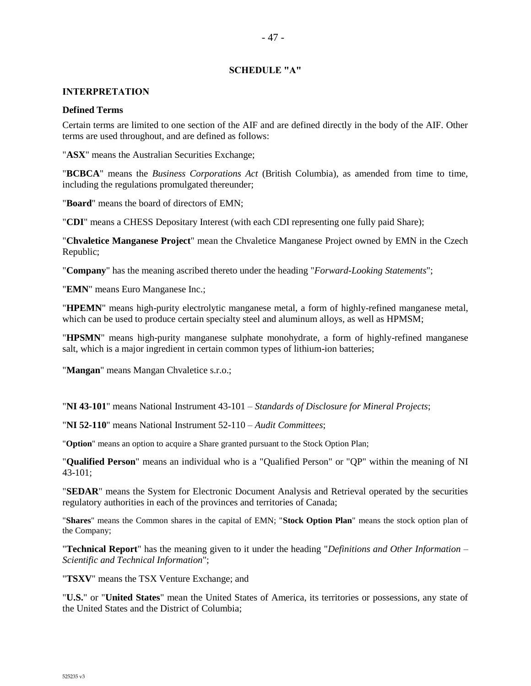#### **SCHEDULE "A"**

#### **INTERPRETATION**

#### **Defined Terms**

Certain terms are limited to one section of the AIF and are defined directly in the body of the AIF. Other terms are used throughout, and are defined as follows:

"**ASX**" means the Australian Securities Exchange;

"**BCBCA**" means the *Business Corporations Act* (British Columbia), as amended from time to time, including the regulations promulgated thereunder;

"**Board**" means the board of directors of EMN;

"**CDI**" means a CHESS Depositary Interest (with each CDI representing one fully paid Share);

"**Chvaletice Manganese Project**" mean the Chvaletice Manganese Project owned by EMN in the Czech Republic;

"**Company**" has the meaning ascribed thereto under the heading "*Forward-Looking Statements*";

"**EMN**" means Euro Manganese Inc.;

"**HPEMN**" means high-purity electrolytic manganese metal, a form of highly-refined manganese metal, which can be used to produce certain specialty steel and aluminum alloys, as well as HPMSM;

"**HPSMN**" means high-purity manganese sulphate monohydrate, a form of highly-refined manganese salt, which is a major ingredient in certain common types of lithium-ion batteries;

"**Mangan**" means Mangan Chvaletice s.r.o.;

"**NI 43-101**" means National Instrument 43-101 – *Standards of Disclosure for Mineral Projects*;

"**NI 52-110**" means National Instrument 52-110 – *Audit Committees*;

"**Option**" means an option to acquire a Share granted pursuant to the Stock Option Plan;

"**Qualified Person**" means an individual who is a "Qualified Person" or "QP" within the meaning of NI 43-101;

"**SEDAR**" means the System for Electronic Document Analysis and Retrieval operated by the securities regulatory authorities in each of the provinces and territories of Canada;

"**Shares**" means the Common shares in the capital of EMN; "**Stock Option Plan**" means the stock option plan of the Company;

"**Technical Report**" has the meaning given to it under the heading "*Definitions and Other Information – Scientific and Technical Information*";

"**TSXV**" means the TSX Venture Exchange; and

"**U.S.**" or "**United States**" mean the United States of America, its territories or possessions, any state of the United States and the District of Columbia;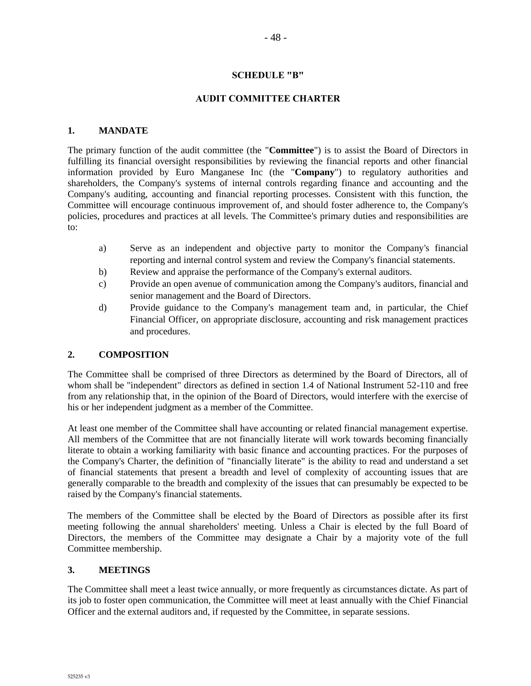#### **SCHEDULE "B"**

- 48 -

## **AUDIT COMMITTEE CHARTER**

#### **1. MANDATE**

The primary function of the audit committee (the "**Committee**") is to assist the Board of Directors in fulfilling its financial oversight responsibilities by reviewing the financial reports and other financial information provided by Euro Manganese Inc (the "**Company**") to regulatory authorities and shareholders, the Company's systems of internal controls regarding finance and accounting and the Company's auditing, accounting and financial reporting processes. Consistent with this function, the Committee will encourage continuous improvement of, and should foster adherence to, the Company's policies, procedures and practices at all levels. The Committee's primary duties and responsibilities are to:

- a) Serve as an independent and objective party to monitor the Company's financial reporting and internal control system and review the Company's financial statements.
- b) Review and appraise the performance of the Company's external auditors.
- c) Provide an open avenue of communication among the Company's auditors, financial and senior management and the Board of Directors.
- d) Provide guidance to the Company's management team and, in particular, the Chief Financial Officer, on appropriate disclosure, accounting and risk management practices and procedures.

#### **2. COMPOSITION**

The Committee shall be comprised of three Directors as determined by the Board of Directors, all of whom shall be "independent" directors as defined in section 1.4 of National Instrument 52-110 and free from any relationship that, in the opinion of the Board of Directors, would interfere with the exercise of his or her independent judgment as a member of the Committee.

At least one member of the Committee shall have accounting or related financial management expertise. All members of the Committee that are not financially literate will work towards becoming financially literate to obtain a working familiarity with basic finance and accounting practices. For the purposes of the Company's Charter, the definition of "financially literate" is the ability to read and understand a set of financial statements that present a breadth and level of complexity of accounting issues that are generally comparable to the breadth and complexity of the issues that can presumably be expected to be raised by the Company's financial statements.

The members of the Committee shall be elected by the Board of Directors as possible after its first meeting following the annual shareholders' meeting. Unless a Chair is elected by the full Board of Directors, the members of the Committee may designate a Chair by a majority vote of the full Committee membership.

#### **3. MEETINGS**

The Committee shall meet a least twice annually, or more frequently as circumstances dictate. As part of its job to foster open communication, the Committee will meet at least annually with the Chief Financial Officer and the external auditors and, if requested by the Committee, in separate sessions.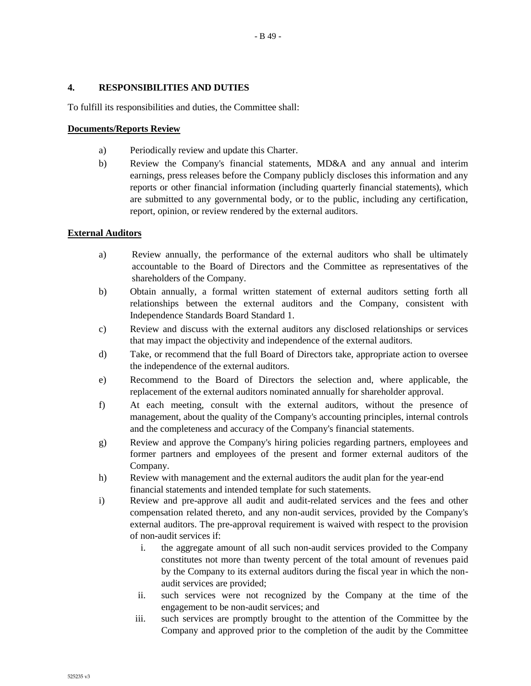## **4. RESPONSIBILITIES AND DUTIES**

To fulfill its responsibilities and duties, the Committee shall:

## **Documents/Reports Review**

- a) Periodically review and update this Charter.
- b) Review the Company's financial statements, MD&A and any annual and interim earnings, press releases before the Company publicly discloses this information and any reports or other financial information (including quarterly financial statements), which are submitted to any governmental body, or to the public, including any certification, report, opinion, or review rendered by the external auditors.

## **External Auditors**

- a) Review annually, the performance of the external auditors who shall be ultimately accountable to the Board of Directors and the Committee as representatives of the shareholders of the Company.
- b) Obtain annually, a formal written statement of external auditors setting forth all relationships between the external auditors and the Company, consistent with Independence Standards Board Standard 1.
- c) Review and discuss with the external auditors any disclosed relationships or services that may impact the objectivity and independence of the external auditors.
- d) Take, or recommend that the full Board of Directors take, appropriate action to oversee the independence of the external auditors.
- e) Recommend to the Board of Directors the selection and, where applicable, the replacement of the external auditors nominated annually for shareholder approval.
- f) At each meeting, consult with the external auditors, without the presence of management, about the quality of the Company's accounting principles, internal controls and the completeness and accuracy of the Company's financial statements.
- g) Review and approve the Company's hiring policies regarding partners, employees and former partners and employees of the present and former external auditors of the Company.
- h) Review with management and the external auditors the audit plan for the year-end financial statements and intended template for such statements.
- i) Review and pre-approve all audit and audit-related services and the fees and other compensation related thereto, and any non-audit services, provided by the Company's external auditors. The pre-approval requirement is waived with respect to the provision of non-audit services if:
	- i. the aggregate amount of all such non-audit services provided to the Company constitutes not more than twenty percent of the total amount of revenues paid by the Company to its external auditors during the fiscal year in which the nonaudit services are provided;
	- ii. such services were not recognized by the Company at the time of the engagement to be non-audit services; and
	- iii. such services are promptly brought to the attention of the Committee by the Company and approved prior to the completion of the audit by the Committee